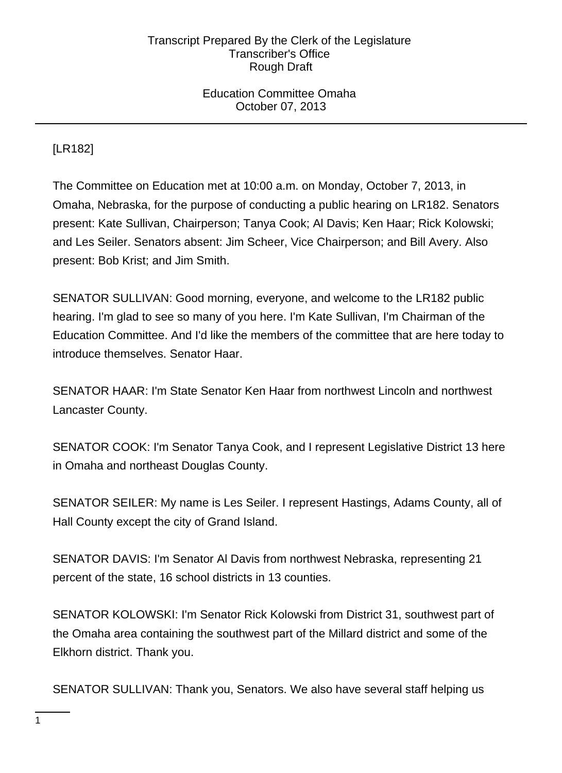## Education Committee Omaha October 07, 2013

# [LR182]

The Committee on Education met at 10:00 a.m. on Monday, October 7, 2013, in Omaha, Nebraska, for the purpose of conducting a public hearing on LR182. Senators present: Kate Sullivan, Chairperson; Tanya Cook; Al Davis; Ken Haar; Rick Kolowski; and Les Seiler. Senators absent: Jim Scheer, Vice Chairperson; and Bill Avery. Also present: Bob Krist; and Jim Smith.

SENATOR SULLIVAN: Good morning, everyone, and welcome to the LR182 public hearing. I'm glad to see so many of you here. I'm Kate Sullivan, I'm Chairman of the Education Committee. And I'd like the members of the committee that are here today to introduce themselves. Senator Haar.

SENATOR HAAR: I'm State Senator Ken Haar from northwest Lincoln and northwest Lancaster County.

SENATOR COOK: I'm Senator Tanya Cook, and I represent Legislative District 13 here in Omaha and northeast Douglas County.

SENATOR SEILER: My name is Les Seiler. I represent Hastings, Adams County, all of Hall County except the city of Grand Island.

SENATOR DAVIS: I'm Senator Al Davis from northwest Nebraska, representing 21 percent of the state, 16 school districts in 13 counties.

SENATOR KOLOWSKI: I'm Senator Rick Kolowski from District 31, southwest part of the Omaha area containing the southwest part of the Millard district and some of the Elkhorn district. Thank you.

SENATOR SULLIVAN: Thank you, Senators. We also have several staff helping us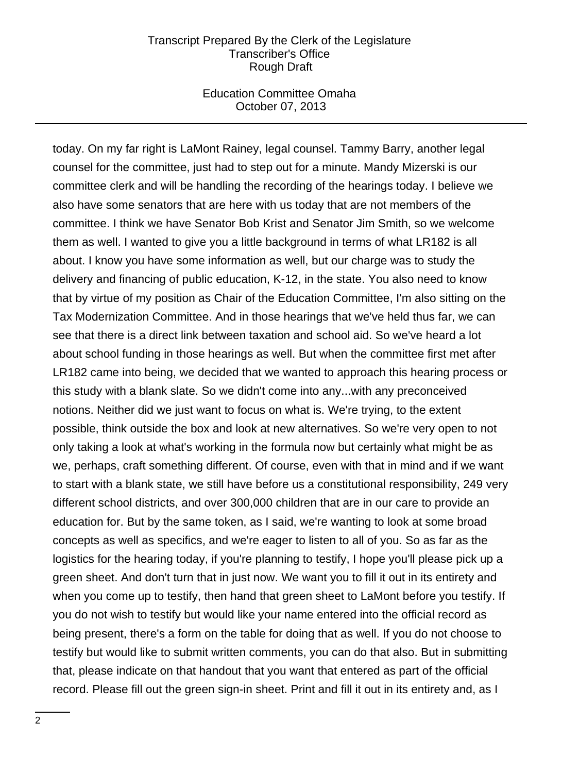#### Education Committee Omaha October 07, 2013

today. On my far right is LaMont Rainey, legal counsel. Tammy Barry, another legal counsel for the committee, just had to step out for a minute. Mandy Mizerski is our committee clerk and will be handling the recording of the hearings today. I believe we also have some senators that are here with us today that are not members of the committee. I think we have Senator Bob Krist and Senator Jim Smith, so we welcome them as well. I wanted to give you a little background in terms of what LR182 is all about. I know you have some information as well, but our charge was to study the delivery and financing of public education, K-12, in the state. You also need to know that by virtue of my position as Chair of the Education Committee, I'm also sitting on the Tax Modernization Committee. And in those hearings that we've held thus far, we can see that there is a direct link between taxation and school aid. So we've heard a lot about school funding in those hearings as well. But when the committee first met after LR182 came into being, we decided that we wanted to approach this hearing process or this study with a blank slate. So we didn't come into any...with any preconceived notions. Neither did we just want to focus on what is. We're trying, to the extent possible, think outside the box and look at new alternatives. So we're very open to not only taking a look at what's working in the formula now but certainly what might be as we, perhaps, craft something different. Of course, even with that in mind and if we want to start with a blank state, we still have before us a constitutional responsibility, 249 very different school districts, and over 300,000 children that are in our care to provide an education for. But by the same token, as I said, we're wanting to look at some broad concepts as well as specifics, and we're eager to listen to all of you. So as far as the logistics for the hearing today, if you're planning to testify, I hope you'll please pick up a green sheet. And don't turn that in just now. We want you to fill it out in its entirety and when you come up to testify, then hand that green sheet to LaMont before you testify. If you do not wish to testify but would like your name entered into the official record as being present, there's a form on the table for doing that as well. If you do not choose to testify but would like to submit written comments, you can do that also. But in submitting that, please indicate on that handout that you want that entered as part of the official record. Please fill out the green sign-in sheet. Print and fill it out in its entirety and, as I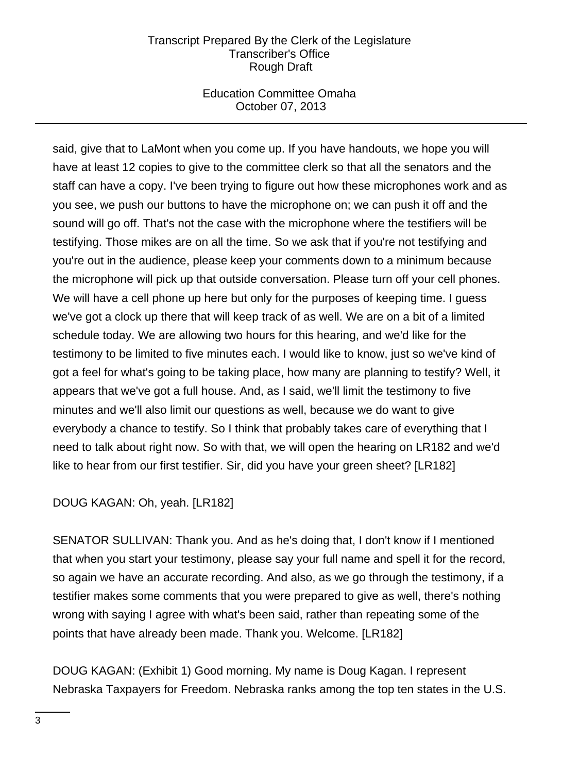## Education Committee Omaha October 07, 2013

said, give that to LaMont when you come up. If you have handouts, we hope you will have at least 12 copies to give to the committee clerk so that all the senators and the staff can have a copy. I've been trying to figure out how these microphones work and as you see, we push our buttons to have the microphone on; we can push it off and the sound will go off. That's not the case with the microphone where the testifiers will be testifying. Those mikes are on all the time. So we ask that if you're not testifying and you're out in the audience, please keep your comments down to a minimum because the microphone will pick up that outside conversation. Please turn off your cell phones. We will have a cell phone up here but only for the purposes of keeping time. I guess we've got a clock up there that will keep track of as well. We are on a bit of a limited schedule today. We are allowing two hours for this hearing, and we'd like for the testimony to be limited to five minutes each. I would like to know, just so we've kind of got a feel for what's going to be taking place, how many are planning to testify? Well, it appears that we've got a full house. And, as I said, we'll limit the testimony to five minutes and we'll also limit our questions as well, because we do want to give everybody a chance to testify. So I think that probably takes care of everything that I need to talk about right now. So with that, we will open the hearing on LR182 and we'd like to hear from our first testifier. Sir, did you have your green sheet? [LR182]

# DOUG KAGAN: Oh, yeah. [LR182]

SENATOR SULLIVAN: Thank you. And as he's doing that, I don't know if I mentioned that when you start your testimony, please say your full name and spell it for the record, so again we have an accurate recording. And also, as we go through the testimony, if a testifier makes some comments that you were prepared to give as well, there's nothing wrong with saying I agree with what's been said, rather than repeating some of the points that have already been made. Thank you. Welcome. [LR182]

DOUG KAGAN: (Exhibit 1) Good morning. My name is Doug Kagan. I represent Nebraska Taxpayers for Freedom. Nebraska ranks among the top ten states in the U.S.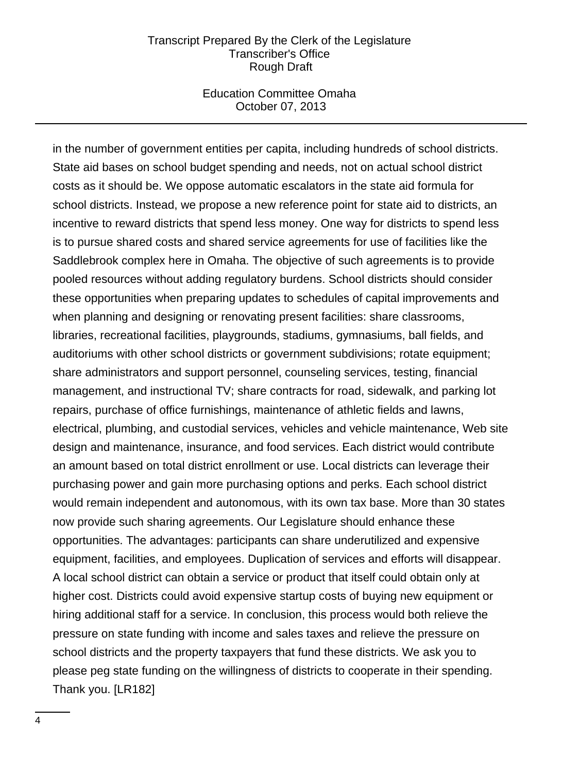#### Education Committee Omaha October 07, 2013

in the number of government entities per capita, including hundreds of school districts. State aid bases on school budget spending and needs, not on actual school district costs as it should be. We oppose automatic escalators in the state aid formula for school districts. Instead, we propose a new reference point for state aid to districts, an incentive to reward districts that spend less money. One way for districts to spend less is to pursue shared costs and shared service agreements for use of facilities like the Saddlebrook complex here in Omaha. The objective of such agreements is to provide pooled resources without adding regulatory burdens. School districts should consider these opportunities when preparing updates to schedules of capital improvements and when planning and designing or renovating present facilities: share classrooms, libraries, recreational facilities, playgrounds, stadiums, gymnasiums, ball fields, and auditoriums with other school districts or government subdivisions; rotate equipment; share administrators and support personnel, counseling services, testing, financial management, and instructional TV; share contracts for road, sidewalk, and parking lot repairs, purchase of office furnishings, maintenance of athletic fields and lawns, electrical, plumbing, and custodial services, vehicles and vehicle maintenance, Web site design and maintenance, insurance, and food services. Each district would contribute an amount based on total district enrollment or use. Local districts can leverage their purchasing power and gain more purchasing options and perks. Each school district would remain independent and autonomous, with its own tax base. More than 30 states now provide such sharing agreements. Our Legislature should enhance these opportunities. The advantages: participants can share underutilized and expensive equipment, facilities, and employees. Duplication of services and efforts will disappear. A local school district can obtain a service or product that itself could obtain only at higher cost. Districts could avoid expensive startup costs of buying new equipment or hiring additional staff for a service. In conclusion, this process would both relieve the pressure on state funding with income and sales taxes and relieve the pressure on school districts and the property taxpayers that fund these districts. We ask you to please peg state funding on the willingness of districts to cooperate in their spending. Thank you. [LR182]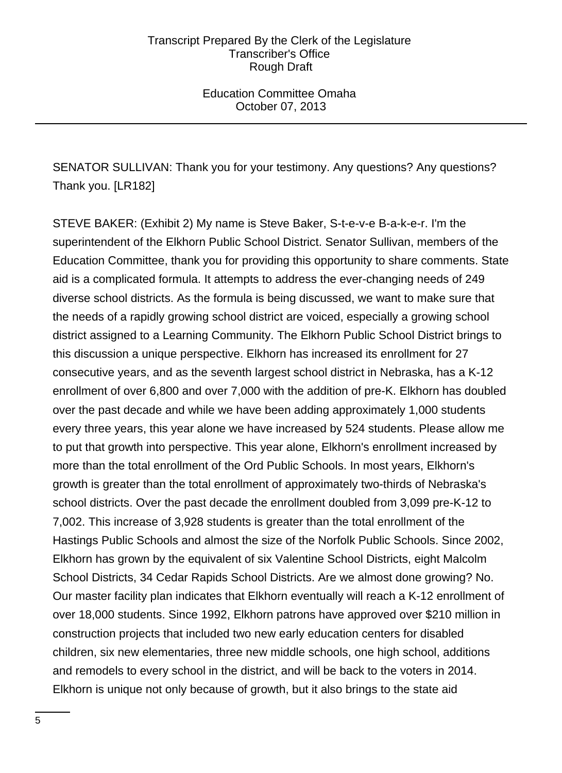Education Committee Omaha October 07, 2013

SENATOR SULLIVAN: Thank you for your testimony. Any questions? Any questions? Thank you. [LR182]

STEVE BAKER: (Exhibit 2) My name is Steve Baker, S-t-e-v-e B-a-k-e-r. I'm the superintendent of the Elkhorn Public School District. Senator Sullivan, members of the Education Committee, thank you for providing this opportunity to share comments. State aid is a complicated formula. It attempts to address the ever-changing needs of 249 diverse school districts. As the formula is being discussed, we want to make sure that the needs of a rapidly growing school district are voiced, especially a growing school district assigned to a Learning Community. The Elkhorn Public School District brings to this discussion a unique perspective. Elkhorn has increased its enrollment for 27 consecutive years, and as the seventh largest school district in Nebraska, has a K-12 enrollment of over 6,800 and over 7,000 with the addition of pre-K. Elkhorn has doubled over the past decade and while we have been adding approximately 1,000 students every three years, this year alone we have increased by 524 students. Please allow me to put that growth into perspective. This year alone, Elkhorn's enrollment increased by more than the total enrollment of the Ord Public Schools. In most years, Elkhorn's growth is greater than the total enrollment of approximately two-thirds of Nebraska's school districts. Over the past decade the enrollment doubled from 3,099 pre-K-12 to 7,002. This increase of 3,928 students is greater than the total enrollment of the Hastings Public Schools and almost the size of the Norfolk Public Schools. Since 2002, Elkhorn has grown by the equivalent of six Valentine School Districts, eight Malcolm School Districts, 34 Cedar Rapids School Districts. Are we almost done growing? No. Our master facility plan indicates that Elkhorn eventually will reach a K-12 enrollment of over 18,000 students. Since 1992, Elkhorn patrons have approved over \$210 million in construction projects that included two new early education centers for disabled children, six new elementaries, three new middle schools, one high school, additions and remodels to every school in the district, and will be back to the voters in 2014. Elkhorn is unique not only because of growth, but it also brings to the state aid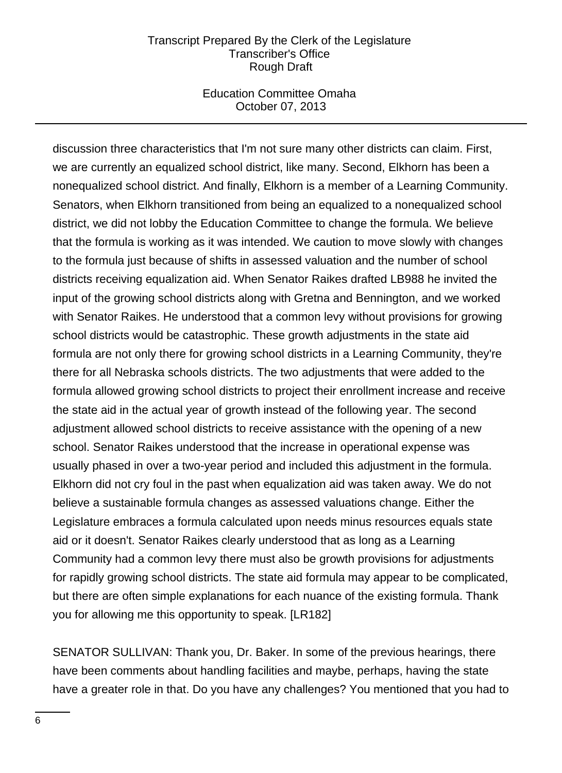### Education Committee Omaha October 07, 2013

discussion three characteristics that I'm not sure many other districts can claim. First, we are currently an equalized school district, like many. Second, Elkhorn has been a nonequalized school district. And finally, Elkhorn is a member of a Learning Community. Senators, when Elkhorn transitioned from being an equalized to a nonequalized school district, we did not lobby the Education Committee to change the formula. We believe that the formula is working as it was intended. We caution to move slowly with changes to the formula just because of shifts in assessed valuation and the number of school districts receiving equalization aid. When Senator Raikes drafted LB988 he invited the input of the growing school districts along with Gretna and Bennington, and we worked with Senator Raikes. He understood that a common levy without provisions for growing school districts would be catastrophic. These growth adjustments in the state aid formula are not only there for growing school districts in a Learning Community, they're there for all Nebraska schools districts. The two adjustments that were added to the formula allowed growing school districts to project their enrollment increase and receive the state aid in the actual year of growth instead of the following year. The second adjustment allowed school districts to receive assistance with the opening of a new school. Senator Raikes understood that the increase in operational expense was usually phased in over a two-year period and included this adjustment in the formula. Elkhorn did not cry foul in the past when equalization aid was taken away. We do not believe a sustainable formula changes as assessed valuations change. Either the Legislature embraces a formula calculated upon needs minus resources equals state aid or it doesn't. Senator Raikes clearly understood that as long as a Learning Community had a common levy there must also be growth provisions for adjustments for rapidly growing school districts. The state aid formula may appear to be complicated, but there are often simple explanations for each nuance of the existing formula. Thank you for allowing me this opportunity to speak. [LR182]

SENATOR SULLIVAN: Thank you, Dr. Baker. In some of the previous hearings, there have been comments about handling facilities and maybe, perhaps, having the state have a greater role in that. Do you have any challenges? You mentioned that you had to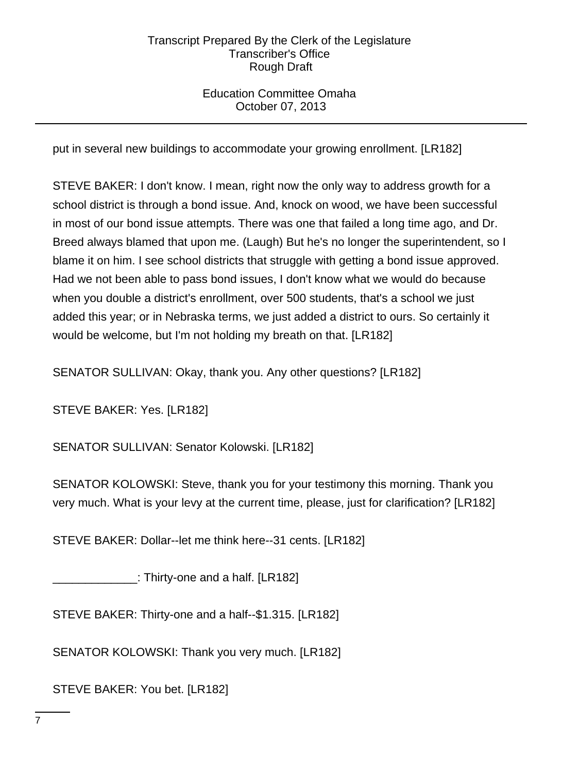## Education Committee Omaha October 07, 2013

put in several new buildings to accommodate your growing enrollment. [LR182]

STEVE BAKER: I don't know. I mean, right now the only way to address growth for a school district is through a bond issue. And, knock on wood, we have been successful in most of our bond issue attempts. There was one that failed a long time ago, and Dr. Breed always blamed that upon me. (Laugh) But he's no longer the superintendent, so I blame it on him. I see school districts that struggle with getting a bond issue approved. Had we not been able to pass bond issues, I don't know what we would do because when you double a district's enrollment, over 500 students, that's a school we just added this year; or in Nebraska terms, we just added a district to ours. So certainly it would be welcome, but I'm not holding my breath on that. [LR182]

SENATOR SULLIVAN: Okay, thank you. Any other questions? [LR182]

STEVE BAKER: Yes. [LR182]

SENATOR SULLIVAN: Senator Kolowski. [LR182]

SENATOR KOLOWSKI: Steve, thank you for your testimony this morning. Thank you very much. What is your levy at the current time, please, just for clarification? [LR182]

STEVE BAKER: Dollar--let me think here--31 cents. [LR182]

 $\_$ : Thirty-one and a half. [LR182]

STEVE BAKER: Thirty-one and a half--\$1.315. [LR182]

SENATOR KOLOWSKI: Thank you very much. [LR182]

STEVE BAKER: You bet. [LR182]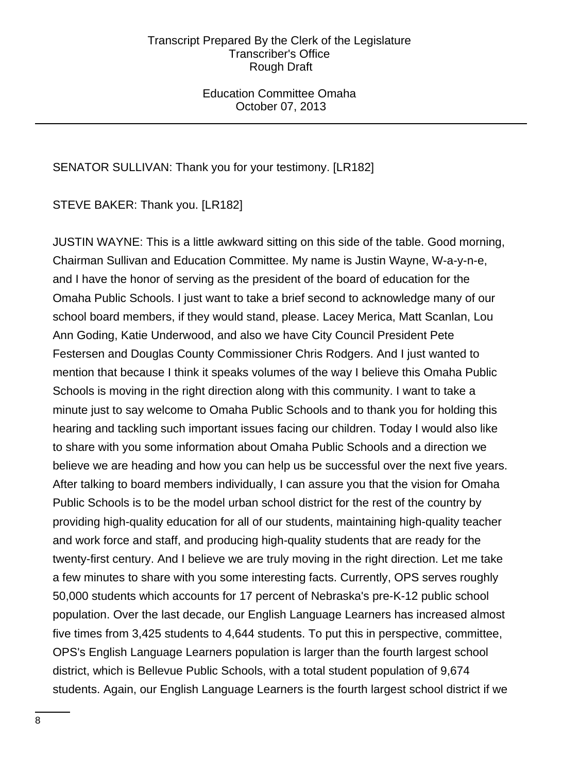Education Committee Omaha October 07, 2013

## SENATOR SULLIVAN: Thank you for your testimony. [LR182]

STEVE BAKER: Thank you. [LR182]

JUSTIN WAYNE: This is a little awkward sitting on this side of the table. Good morning, Chairman Sullivan and Education Committee. My name is Justin Wayne, W-a-y-n-e, and I have the honor of serving as the president of the board of education for the Omaha Public Schools. I just want to take a brief second to acknowledge many of our school board members, if they would stand, please. Lacey Merica, Matt Scanlan, Lou Ann Goding, Katie Underwood, and also we have City Council President Pete Festersen and Douglas County Commissioner Chris Rodgers. And I just wanted to mention that because I think it speaks volumes of the way I believe this Omaha Public Schools is moving in the right direction along with this community. I want to take a minute just to say welcome to Omaha Public Schools and to thank you for holding this hearing and tackling such important issues facing our children. Today I would also like to share with you some information about Omaha Public Schools and a direction we believe we are heading and how you can help us be successful over the next five years. After talking to board members individually, I can assure you that the vision for Omaha Public Schools is to be the model urban school district for the rest of the country by providing high-quality education for all of our students, maintaining high-quality teacher and work force and staff, and producing high-quality students that are ready for the twenty-first century. And I believe we are truly moving in the right direction. Let me take a few minutes to share with you some interesting facts. Currently, OPS serves roughly 50,000 students which accounts for 17 percent of Nebraska's pre-K-12 public school population. Over the last decade, our English Language Learners has increased almost five times from 3,425 students to 4,644 students. To put this in perspective, committee, OPS's English Language Learners population is larger than the fourth largest school district, which is Bellevue Public Schools, with a total student population of 9,674 students. Again, our English Language Learners is the fourth largest school district if we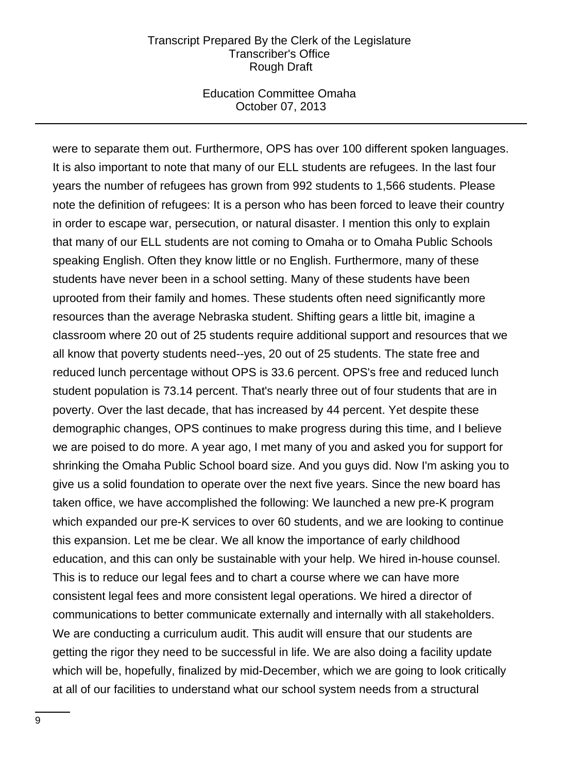#### Education Committee Omaha October 07, 2013

were to separate them out. Furthermore, OPS has over 100 different spoken languages. It is also important to note that many of our ELL students are refugees. In the last four years the number of refugees has grown from 992 students to 1,566 students. Please note the definition of refugees: It is a person who has been forced to leave their country in order to escape war, persecution, or natural disaster. I mention this only to explain that many of our ELL students are not coming to Omaha or to Omaha Public Schools speaking English. Often they know little or no English. Furthermore, many of these students have never been in a school setting. Many of these students have been uprooted from their family and homes. These students often need significantly more resources than the average Nebraska student. Shifting gears a little bit, imagine a classroom where 20 out of 25 students require additional support and resources that we all know that poverty students need--yes, 20 out of 25 students. The state free and reduced lunch percentage without OPS is 33.6 percent. OPS's free and reduced lunch student population is 73.14 percent. That's nearly three out of four students that are in poverty. Over the last decade, that has increased by 44 percent. Yet despite these demographic changes, OPS continues to make progress during this time, and I believe we are poised to do more. A year ago, I met many of you and asked you for support for shrinking the Omaha Public School board size. And you guys did. Now I'm asking you to give us a solid foundation to operate over the next five years. Since the new board has taken office, we have accomplished the following: We launched a new pre-K program which expanded our pre-K services to over 60 students, and we are looking to continue this expansion. Let me be clear. We all know the importance of early childhood education, and this can only be sustainable with your help. We hired in-house counsel. This is to reduce our legal fees and to chart a course where we can have more consistent legal fees and more consistent legal operations. We hired a director of communications to better communicate externally and internally with all stakeholders. We are conducting a curriculum audit. This audit will ensure that our students are getting the rigor they need to be successful in life. We are also doing a facility update which will be, hopefully, finalized by mid-December, which we are going to look critically at all of our facilities to understand what our school system needs from a structural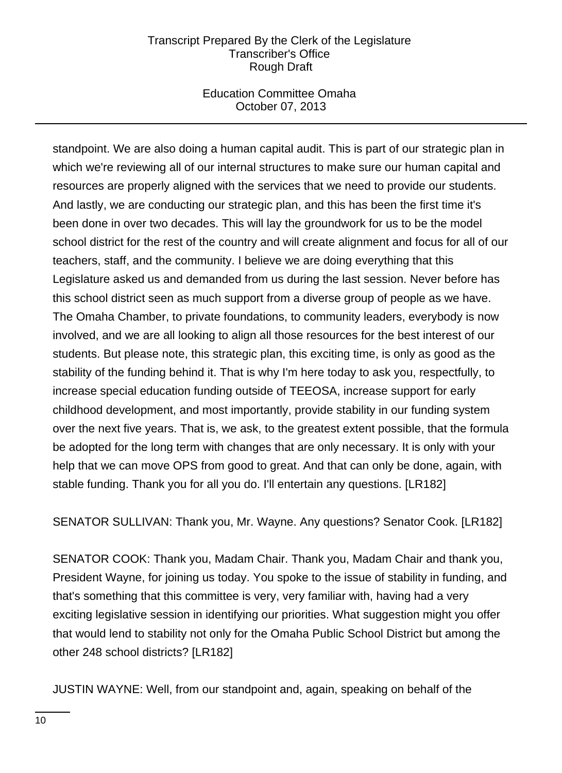## Education Committee Omaha October 07, 2013

standpoint. We are also doing a human capital audit. This is part of our strategic plan in which we're reviewing all of our internal structures to make sure our human capital and resources are properly aligned with the services that we need to provide our students. And lastly, we are conducting our strategic plan, and this has been the first time it's been done in over two decades. This will lay the groundwork for us to be the model school district for the rest of the country and will create alignment and focus for all of our teachers, staff, and the community. I believe we are doing everything that this Legislature asked us and demanded from us during the last session. Never before has this school district seen as much support from a diverse group of people as we have. The Omaha Chamber, to private foundations, to community leaders, everybody is now involved, and we are all looking to align all those resources for the best interest of our students. But please note, this strategic plan, this exciting time, is only as good as the stability of the funding behind it. That is why I'm here today to ask you, respectfully, to increase special education funding outside of TEEOSA, increase support for early childhood development, and most importantly, provide stability in our funding system over the next five years. That is, we ask, to the greatest extent possible, that the formula be adopted for the long term with changes that are only necessary. It is only with your help that we can move OPS from good to great. And that can only be done, again, with stable funding. Thank you for all you do. I'll entertain any questions. [LR182]

SENATOR SULLIVAN: Thank you, Mr. Wayne. Any questions? Senator Cook. [LR182]

SENATOR COOK: Thank you, Madam Chair. Thank you, Madam Chair and thank you, President Wayne, for joining us today. You spoke to the issue of stability in funding, and that's something that this committee is very, very familiar with, having had a very exciting legislative session in identifying our priorities. What suggestion might you offer that would lend to stability not only for the Omaha Public School District but among the other 248 school districts? [LR182]

JUSTIN WAYNE: Well, from our standpoint and, again, speaking on behalf of the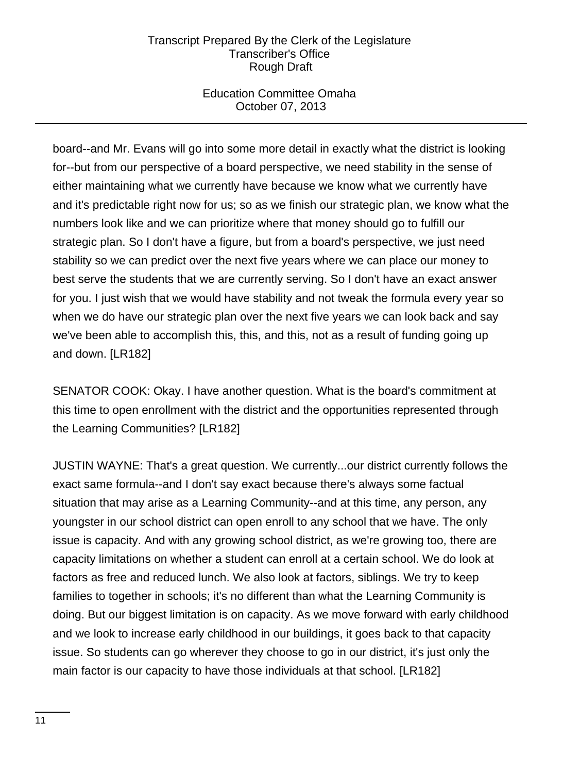## Education Committee Omaha October 07, 2013

board--and Mr. Evans will go into some more detail in exactly what the district is looking for--but from our perspective of a board perspective, we need stability in the sense of either maintaining what we currently have because we know what we currently have and it's predictable right now for us; so as we finish our strategic plan, we know what the numbers look like and we can prioritize where that money should go to fulfill our strategic plan. So I don't have a figure, but from a board's perspective, we just need stability so we can predict over the next five years where we can place our money to best serve the students that we are currently serving. So I don't have an exact answer for you. I just wish that we would have stability and not tweak the formula every year so when we do have our strategic plan over the next five years we can look back and say we've been able to accomplish this, this, and this, not as a result of funding going up and down. [LR182]

SENATOR COOK: Okay. I have another question. What is the board's commitment at this time to open enrollment with the district and the opportunities represented through the Learning Communities? [LR182]

JUSTIN WAYNE: That's a great question. We currently...our district currently follows the exact same formula--and I don't say exact because there's always some factual situation that may arise as a Learning Community--and at this time, any person, any youngster in our school district can open enroll to any school that we have. The only issue is capacity. And with any growing school district, as we're growing too, there are capacity limitations on whether a student can enroll at a certain school. We do look at factors as free and reduced lunch. We also look at factors, siblings. We try to keep families to together in schools; it's no different than what the Learning Community is doing. But our biggest limitation is on capacity. As we move forward with early childhood and we look to increase early childhood in our buildings, it goes back to that capacity issue. So students can go wherever they choose to go in our district, it's just only the main factor is our capacity to have those individuals at that school. [LR182]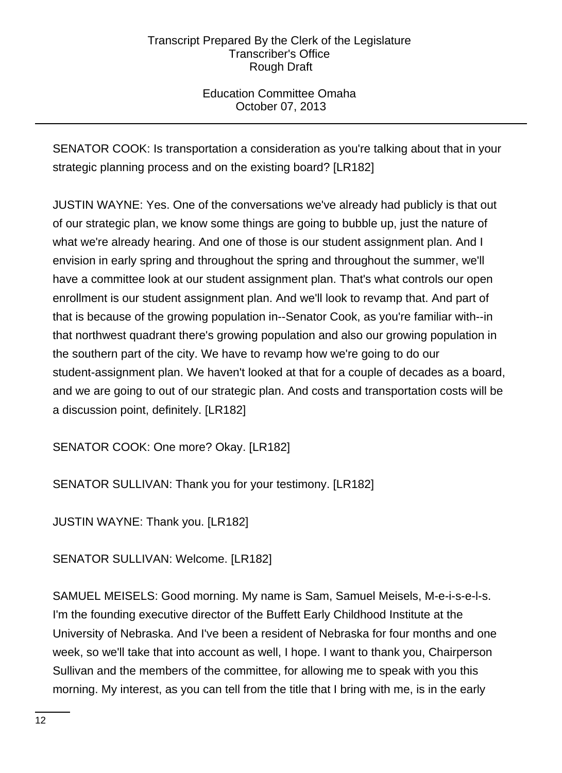## Education Committee Omaha October 07, 2013

SENATOR COOK: Is transportation a consideration as you're talking about that in your strategic planning process and on the existing board? [LR182]

JUSTIN WAYNE: Yes. One of the conversations we've already had publicly is that out of our strategic plan, we know some things are going to bubble up, just the nature of what we're already hearing. And one of those is our student assignment plan. And I envision in early spring and throughout the spring and throughout the summer, we'll have a committee look at our student assignment plan. That's what controls our open enrollment is our student assignment plan. And we'll look to revamp that. And part of that is because of the growing population in--Senator Cook, as you're familiar with--in that northwest quadrant there's growing population and also our growing population in the southern part of the city. We have to revamp how we're going to do our student-assignment plan. We haven't looked at that for a couple of decades as a board, and we are going to out of our strategic plan. And costs and transportation costs will be a discussion point, definitely. [LR182]

SENATOR COOK: One more? Okay. [LR182]

SENATOR SULLIVAN: Thank you for your testimony. [LR182]

JUSTIN WAYNE: Thank you. [LR182]

SENATOR SULLIVAN: Welcome. [LR182]

SAMUEL MEISELS: Good morning. My name is Sam, Samuel Meisels, M-e-i-s-e-l-s. I'm the founding executive director of the Buffett Early Childhood Institute at the University of Nebraska. And I've been a resident of Nebraska for four months and one week, so we'll take that into account as well, I hope. I want to thank you, Chairperson Sullivan and the members of the committee, for allowing me to speak with you this morning. My interest, as you can tell from the title that I bring with me, is in the early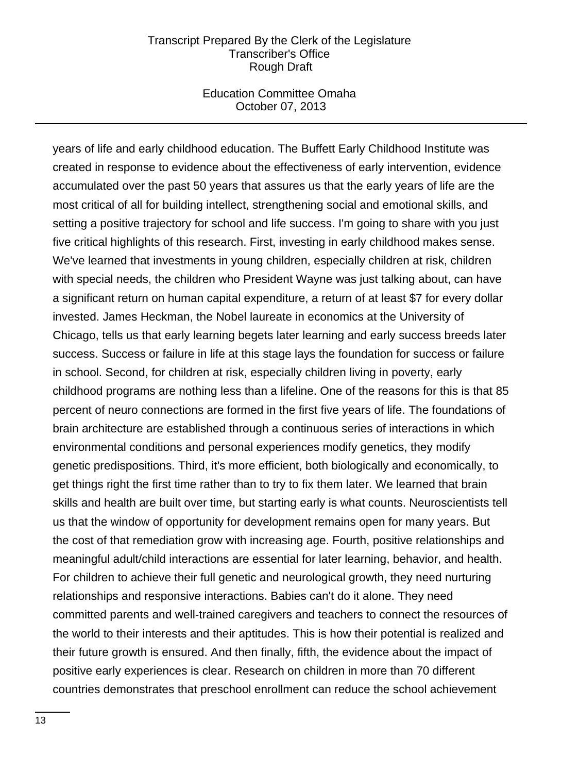### Education Committee Omaha October 07, 2013

years of life and early childhood education. The Buffett Early Childhood Institute was created in response to evidence about the effectiveness of early intervention, evidence accumulated over the past 50 years that assures us that the early years of life are the most critical of all for building intellect, strengthening social and emotional skills, and setting a positive trajectory for school and life success. I'm going to share with you just five critical highlights of this research. First, investing in early childhood makes sense. We've learned that investments in young children, especially children at risk, children with special needs, the children who President Wayne was just talking about, can have a significant return on human capital expenditure, a return of at least \$7 for every dollar invested. James Heckman, the Nobel laureate in economics at the University of Chicago, tells us that early learning begets later learning and early success breeds later success. Success or failure in life at this stage lays the foundation for success or failure in school. Second, for children at risk, especially children living in poverty, early childhood programs are nothing less than a lifeline. One of the reasons for this is that 85 percent of neuro connections are formed in the first five years of life. The foundations of brain architecture are established through a continuous series of interactions in which environmental conditions and personal experiences modify genetics, they modify genetic predispositions. Third, it's more efficient, both biologically and economically, to get things right the first time rather than to try to fix them later. We learned that brain skills and health are built over time, but starting early is what counts. Neuroscientists tell us that the window of opportunity for development remains open for many years. But the cost of that remediation grow with increasing age. Fourth, positive relationships and meaningful adult/child interactions are essential for later learning, behavior, and health. For children to achieve their full genetic and neurological growth, they need nurturing relationships and responsive interactions. Babies can't do it alone. They need committed parents and well-trained caregivers and teachers to connect the resources of the world to their interests and their aptitudes. This is how their potential is realized and their future growth is ensured. And then finally, fifth, the evidence about the impact of positive early experiences is clear. Research on children in more than 70 different countries demonstrates that preschool enrollment can reduce the school achievement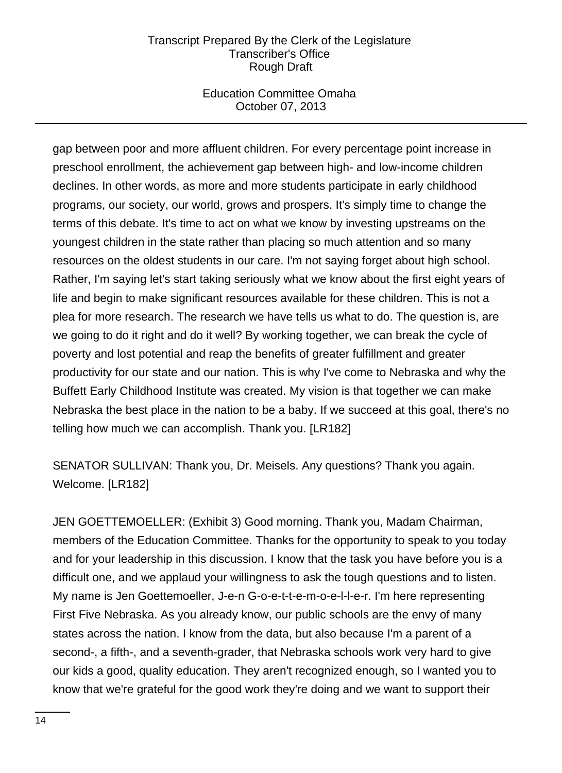## Education Committee Omaha October 07, 2013

gap between poor and more affluent children. For every percentage point increase in preschool enrollment, the achievement gap between high- and low-income children declines. In other words, as more and more students participate in early childhood programs, our society, our world, grows and prospers. It's simply time to change the terms of this debate. It's time to act on what we know by investing upstreams on the youngest children in the state rather than placing so much attention and so many resources on the oldest students in our care. I'm not saying forget about high school. Rather, I'm saying let's start taking seriously what we know about the first eight years of life and begin to make significant resources available for these children. This is not a plea for more research. The research we have tells us what to do. The question is, are we going to do it right and do it well? By working together, we can break the cycle of poverty and lost potential and reap the benefits of greater fulfillment and greater productivity for our state and our nation. This is why I've come to Nebraska and why the Buffett Early Childhood Institute was created. My vision is that together we can make Nebraska the best place in the nation to be a baby. If we succeed at this goal, there's no telling how much we can accomplish. Thank you. [LR182]

SENATOR SULLIVAN: Thank you, Dr. Meisels. Any questions? Thank you again. Welcome. [LR182]

JEN GOETTEMOELLER: (Exhibit 3) Good morning. Thank you, Madam Chairman, members of the Education Committee. Thanks for the opportunity to speak to you today and for your leadership in this discussion. I know that the task you have before you is a difficult one, and we applaud your willingness to ask the tough questions and to listen. My name is Jen Goettemoeller, J-e-n G-o-e-t-t-e-m-o-e-l-l-e-r. I'm here representing First Five Nebraska. As you already know, our public schools are the envy of many states across the nation. I know from the data, but also because I'm a parent of a second-, a fifth-, and a seventh-grader, that Nebraska schools work very hard to give our kids a good, quality education. They aren't recognized enough, so I wanted you to know that we're grateful for the good work they're doing and we want to support their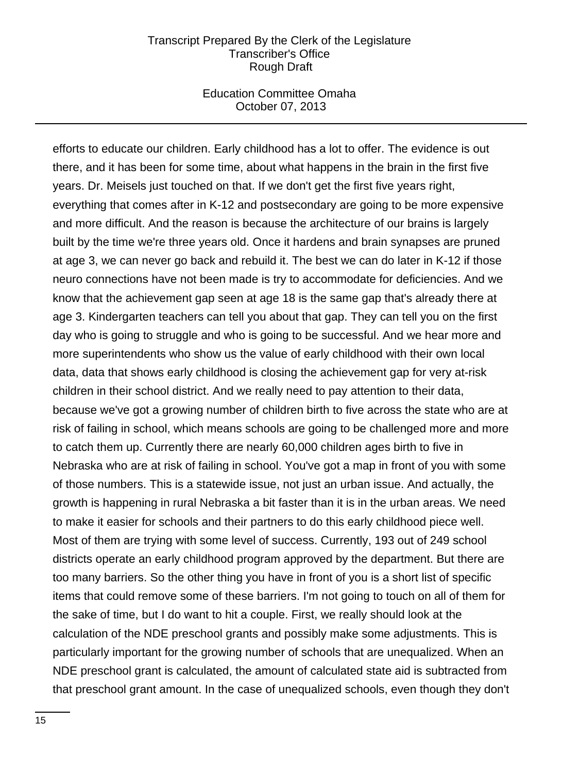### Education Committee Omaha October 07, 2013

efforts to educate our children. Early childhood has a lot to offer. The evidence is out there, and it has been for some time, about what happens in the brain in the first five years. Dr. Meisels just touched on that. If we don't get the first five years right, everything that comes after in K-12 and postsecondary are going to be more expensive and more difficult. And the reason is because the architecture of our brains is largely built by the time we're three years old. Once it hardens and brain synapses are pruned at age 3, we can never go back and rebuild it. The best we can do later in K-12 if those neuro connections have not been made is try to accommodate for deficiencies. And we know that the achievement gap seen at age 18 is the same gap that's already there at age 3. Kindergarten teachers can tell you about that gap. They can tell you on the first day who is going to struggle and who is going to be successful. And we hear more and more superintendents who show us the value of early childhood with their own local data, data that shows early childhood is closing the achievement gap for very at-risk children in their school district. And we really need to pay attention to their data, because we've got a growing number of children birth to five across the state who are at risk of failing in school, which means schools are going to be challenged more and more to catch them up. Currently there are nearly 60,000 children ages birth to five in Nebraska who are at risk of failing in school. You've got a map in front of you with some of those numbers. This is a statewide issue, not just an urban issue. And actually, the growth is happening in rural Nebraska a bit faster than it is in the urban areas. We need to make it easier for schools and their partners to do this early childhood piece well. Most of them are trying with some level of success. Currently, 193 out of 249 school districts operate an early childhood program approved by the department. But there are too many barriers. So the other thing you have in front of you is a short list of specific items that could remove some of these barriers. I'm not going to touch on all of them for the sake of time, but I do want to hit a couple. First, we really should look at the calculation of the NDE preschool grants and possibly make some adjustments. This is particularly important for the growing number of schools that are unequalized. When an NDE preschool grant is calculated, the amount of calculated state aid is subtracted from that preschool grant amount. In the case of unequalized schools, even though they don't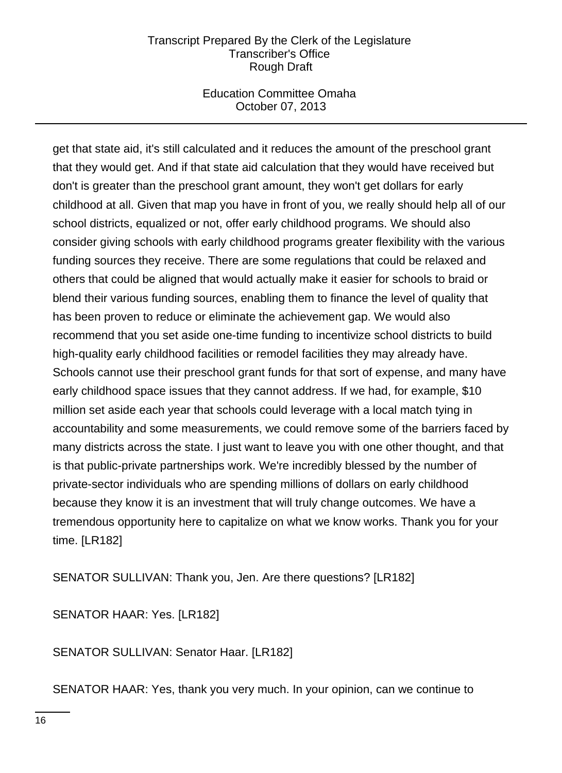## Education Committee Omaha October 07, 2013

get that state aid, it's still calculated and it reduces the amount of the preschool grant that they would get. And if that state aid calculation that they would have received but don't is greater than the preschool grant amount, they won't get dollars for early childhood at all. Given that map you have in front of you, we really should help all of our school districts, equalized or not, offer early childhood programs. We should also consider giving schools with early childhood programs greater flexibility with the various funding sources they receive. There are some regulations that could be relaxed and others that could be aligned that would actually make it easier for schools to braid or blend their various funding sources, enabling them to finance the level of quality that has been proven to reduce or eliminate the achievement gap. We would also recommend that you set aside one-time funding to incentivize school districts to build high-quality early childhood facilities or remodel facilities they may already have. Schools cannot use their preschool grant funds for that sort of expense, and many have early childhood space issues that they cannot address. If we had, for example, \$10 million set aside each year that schools could leverage with a local match tying in accountability and some measurements, we could remove some of the barriers faced by many districts across the state. I just want to leave you with one other thought, and that is that public-private partnerships work. We're incredibly blessed by the number of private-sector individuals who are spending millions of dollars on early childhood because they know it is an investment that will truly change outcomes. We have a tremendous opportunity here to capitalize on what we know works. Thank you for your time. [LR182]

SENATOR SULLIVAN: Thank you, Jen. Are there questions? [LR182]

SENATOR HAAR: Yes. [LR182]

SENATOR SULLIVAN: Senator Haar. [LR182]

SENATOR HAAR: Yes, thank you very much. In your opinion, can we continue to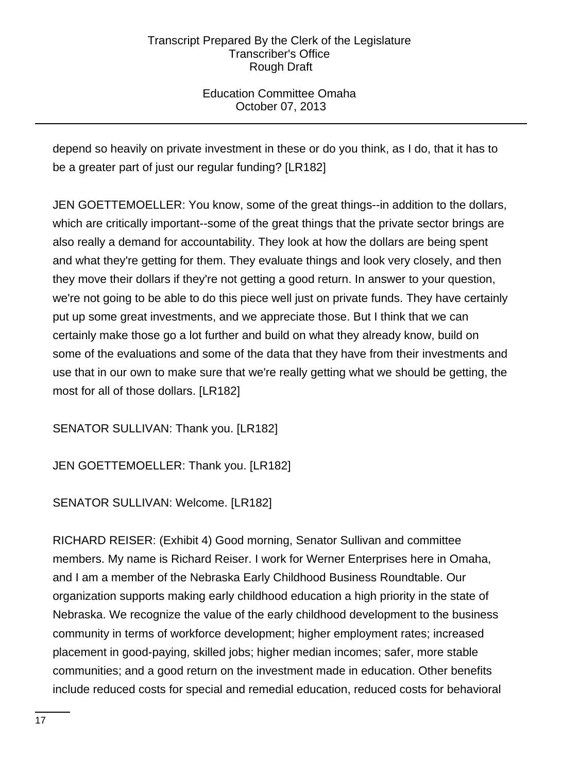Education Committee Omaha October 07, 2013

depend so heavily on private investment in these or do you think, as I do, that it has to be a greater part of just our regular funding? [LR182]

JEN GOETTEMOELLER: You know, some of the great things--in addition to the dollars, which are critically important--some of the great things that the private sector brings are also really a demand for accountability. They look at how the dollars are being spent and what they're getting for them. They evaluate things and look very closely, and then they move their dollars if they're not getting a good return. In answer to your question, we're not going to be able to do this piece well just on private funds. They have certainly put up some great investments, and we appreciate those. But I think that we can certainly make those go a lot further and build on what they already know, build on some of the evaluations and some of the data that they have from their investments and use that in our own to make sure that we're really getting what we should be getting, the most for all of those dollars. [LR182]

SENATOR SULLIVAN: Thank you. [LR182]

JEN GOETTEMOELLER: Thank you. [LR182]

SENATOR SULLIVAN: Welcome. [LR182]

RICHARD REISER: (Exhibit 4) Good morning, Senator Sullivan and committee members. My name is Richard Reiser. I work for Werner Enterprises here in Omaha, and I am a member of the Nebraska Early Childhood Business Roundtable. Our organization supports making early childhood education a high priority in the state of Nebraska. We recognize the value of the early childhood development to the business community in terms of workforce development; higher employment rates; increased placement in good-paying, skilled jobs; higher median incomes; safer, more stable communities; and a good return on the investment made in education. Other benefits include reduced costs for special and remedial education, reduced costs for behavioral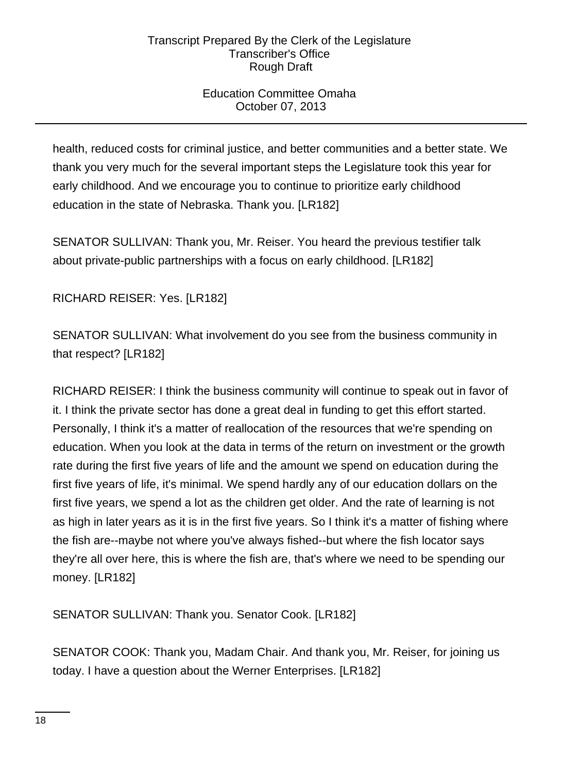## Education Committee Omaha October 07, 2013

health, reduced costs for criminal justice, and better communities and a better state. We thank you very much for the several important steps the Legislature took this year for early childhood. And we encourage you to continue to prioritize early childhood education in the state of Nebraska. Thank you. [LR182]

SENATOR SULLIVAN: Thank you, Mr. Reiser. You heard the previous testifier talk about private-public partnerships with a focus on early childhood. [LR182]

RICHARD REISER: Yes. [LR182]

SENATOR SULLIVAN: What involvement do you see from the business community in that respect? [LR182]

RICHARD REISER: I think the business community will continue to speak out in favor of it. I think the private sector has done a great deal in funding to get this effort started. Personally, I think it's a matter of reallocation of the resources that we're spending on education. When you look at the data in terms of the return on investment or the growth rate during the first five years of life and the amount we spend on education during the first five years of life, it's minimal. We spend hardly any of our education dollars on the first five years, we spend a lot as the children get older. And the rate of learning is not as high in later years as it is in the first five years. So I think it's a matter of fishing where the fish are--maybe not where you've always fished--but where the fish locator says they're all over here, this is where the fish are, that's where we need to be spending our money. [LR182]

SENATOR SULLIVAN: Thank you. Senator Cook. [LR182]

SENATOR COOK: Thank you, Madam Chair. And thank you, Mr. Reiser, for joining us today. I have a question about the Werner Enterprises. [LR182]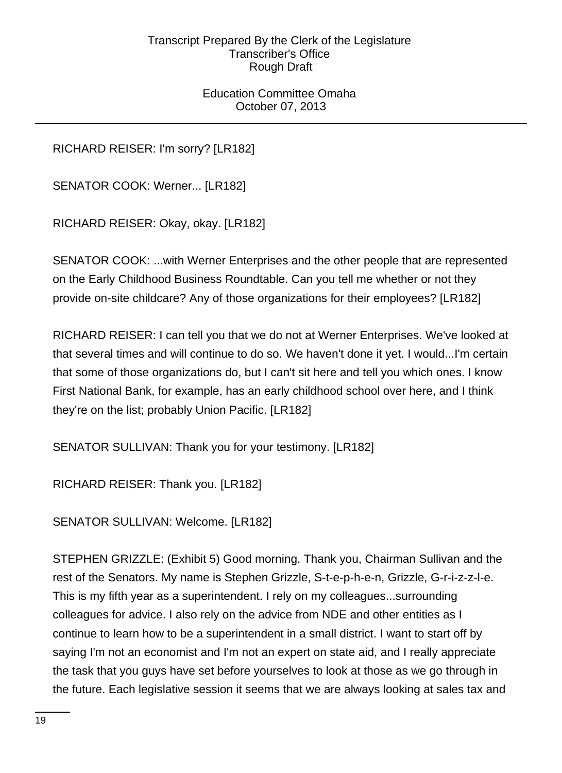Education Committee Omaha October 07, 2013

RICHARD REISER: I'm sorry? [LR182]

SENATOR COOK: Werner... [LR182]

RICHARD REISER: Okay, okay. [LR182]

SENATOR COOK: ...with Werner Enterprises and the other people that are represented on the Early Childhood Business Roundtable. Can you tell me whether or not they provide on-site childcare? Any of those organizations for their employees? [LR182]

RICHARD REISER: I can tell you that we do not at Werner Enterprises. We've looked at that several times and will continue to do so. We haven't done it yet. I would...I'm certain that some of those organizations do, but I can't sit here and tell you which ones. I know First National Bank, for example, has an early childhood school over here, and I think they're on the list; probably Union Pacific. [LR182]

SENATOR SULLIVAN: Thank you for your testimony. [LR182]

RICHARD REISER: Thank you. [LR182]

SENATOR SULLIVAN: Welcome. [LR182]

STEPHEN GRIZZLE: (Exhibit 5) Good morning. Thank you, Chairman Sullivan and the rest of the Senators. My name is Stephen Grizzle, S-t-e-p-h-e-n, Grizzle, G-r-i-z-z-l-e. This is my fifth year as a superintendent. I rely on my colleagues...surrounding colleagues for advice. I also rely on the advice from NDE and other entities as I continue to learn how to be a superintendent in a small district. I want to start off by saying I'm not an economist and I'm not an expert on state aid, and I really appreciate the task that you guys have set before yourselves to look at those as we go through in the future. Each legislative session it seems that we are always looking at sales tax and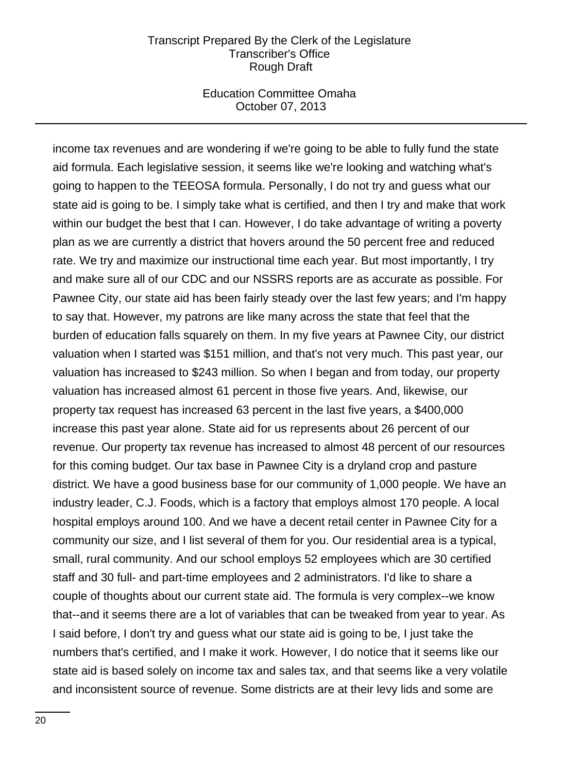#### Education Committee Omaha October 07, 2013

income tax revenues and are wondering if we're going to be able to fully fund the state aid formula. Each legislative session, it seems like we're looking and watching what's going to happen to the TEEOSA formula. Personally, I do not try and guess what our state aid is going to be. I simply take what is certified, and then I try and make that work within our budget the best that I can. However, I do take advantage of writing a poverty plan as we are currently a district that hovers around the 50 percent free and reduced rate. We try and maximize our instructional time each year. But most importantly, I try and make sure all of our CDC and our NSSRS reports are as accurate as possible. For Pawnee City, our state aid has been fairly steady over the last few years; and I'm happy to say that. However, my patrons are like many across the state that feel that the burden of education falls squarely on them. In my five years at Pawnee City, our district valuation when I started was \$151 million, and that's not very much. This past year, our valuation has increased to \$243 million. So when I began and from today, our property valuation has increased almost 61 percent in those five years. And, likewise, our property tax request has increased 63 percent in the last five years, a \$400,000 increase this past year alone. State aid for us represents about 26 percent of our revenue. Our property tax revenue has increased to almost 48 percent of our resources for this coming budget. Our tax base in Pawnee City is a dryland crop and pasture district. We have a good business base for our community of 1,000 people. We have an industry leader, C.J. Foods, which is a factory that employs almost 170 people. A local hospital employs around 100. And we have a decent retail center in Pawnee City for a community our size, and I list several of them for you. Our residential area is a typical, small, rural community. And our school employs 52 employees which are 30 certified staff and 30 full- and part-time employees and 2 administrators. I'd like to share a couple of thoughts about our current state aid. The formula is very complex--we know that--and it seems there are a lot of variables that can be tweaked from year to year. As I said before, I don't try and guess what our state aid is going to be, I just take the numbers that's certified, and I make it work. However, I do notice that it seems like our state aid is based solely on income tax and sales tax, and that seems like a very volatile and inconsistent source of revenue. Some districts are at their levy lids and some are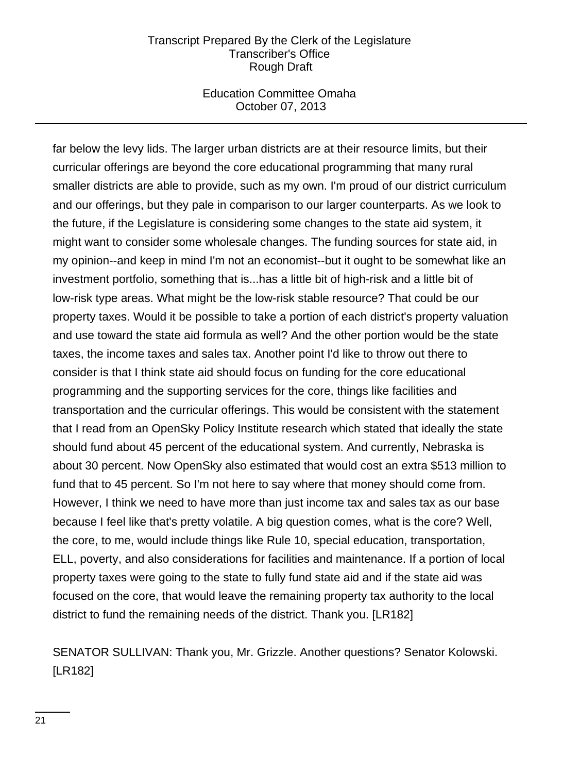### Education Committee Omaha October 07, 2013

far below the levy lids. The larger urban districts are at their resource limits, but their curricular offerings are beyond the core educational programming that many rural smaller districts are able to provide, such as my own. I'm proud of our district curriculum and our offerings, but they pale in comparison to our larger counterparts. As we look to the future, if the Legislature is considering some changes to the state aid system, it might want to consider some wholesale changes. The funding sources for state aid, in my opinion--and keep in mind I'm not an economist--but it ought to be somewhat like an investment portfolio, something that is...has a little bit of high-risk and a little bit of low-risk type areas. What might be the low-risk stable resource? That could be our property taxes. Would it be possible to take a portion of each district's property valuation and use toward the state aid formula as well? And the other portion would be the state taxes, the income taxes and sales tax. Another point I'd like to throw out there to consider is that I think state aid should focus on funding for the core educational programming and the supporting services for the core, things like facilities and transportation and the curricular offerings. This would be consistent with the statement that I read from an OpenSky Policy Institute research which stated that ideally the state should fund about 45 percent of the educational system. And currently, Nebraska is about 30 percent. Now OpenSky also estimated that would cost an extra \$513 million to fund that to 45 percent. So I'm not here to say where that money should come from. However, I think we need to have more than just income tax and sales tax as our base because I feel like that's pretty volatile. A big question comes, what is the core? Well, the core, to me, would include things like Rule 10, special education, transportation, ELL, poverty, and also considerations for facilities and maintenance. If a portion of local property taxes were going to the state to fully fund state aid and if the state aid was focused on the core, that would leave the remaining property tax authority to the local district to fund the remaining needs of the district. Thank you. [LR182]

SENATOR SULLIVAN: Thank you, Mr. Grizzle. Another questions? Senator Kolowski. [LR182]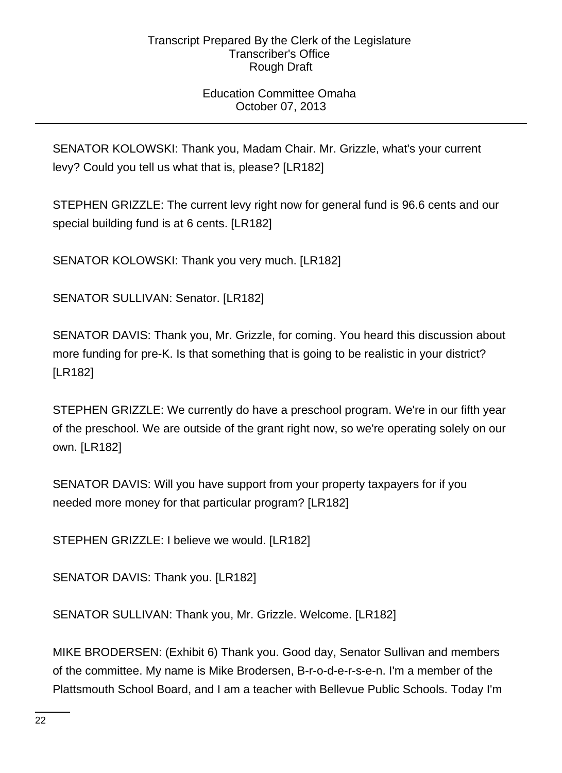## Education Committee Omaha October 07, 2013

SENATOR KOLOWSKI: Thank you, Madam Chair. Mr. Grizzle, what's your current levy? Could you tell us what that is, please? [LR182]

STEPHEN GRIZZLE: The current levy right now for general fund is 96.6 cents and our special building fund is at 6 cents. [LR182]

SENATOR KOLOWSKI: Thank you very much. [LR182]

SENATOR SULLIVAN: Senator. [LR182]

SENATOR DAVIS: Thank you, Mr. Grizzle, for coming. You heard this discussion about more funding for pre-K. Is that something that is going to be realistic in your district? [LR182]

STEPHEN GRIZZLE: We currently do have a preschool program. We're in our fifth year of the preschool. We are outside of the grant right now, so we're operating solely on our own. [LR182]

SENATOR DAVIS: Will you have support from your property taxpayers for if you needed more money for that particular program? [LR182]

STEPHEN GRIZZLE: I believe we would. [LR182]

SENATOR DAVIS: Thank you. [LR182]

SENATOR SULLIVAN: Thank you, Mr. Grizzle. Welcome. [LR182]

MIKE BRODERSEN: (Exhibit 6) Thank you. Good day, Senator Sullivan and members of the committee. My name is Mike Brodersen, B-r-o-d-e-r-s-e-n. I'm a member of the Plattsmouth School Board, and I am a teacher with Bellevue Public Schools. Today I'm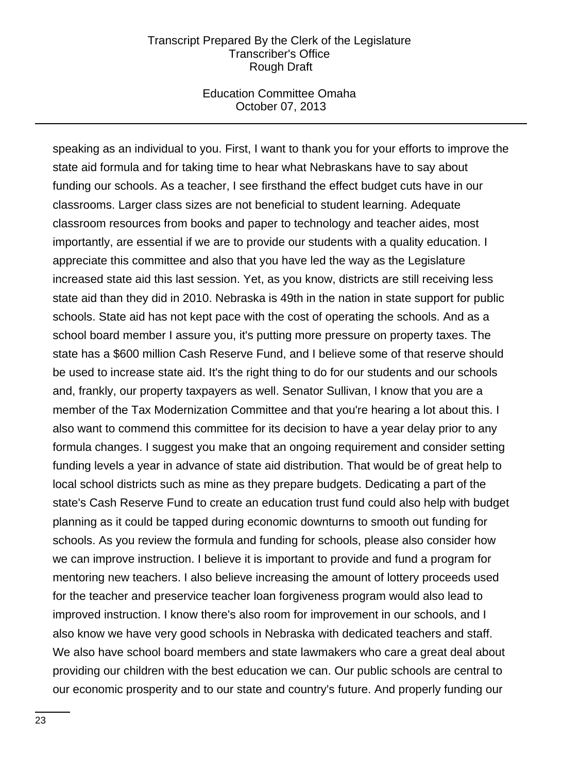#### Education Committee Omaha October 07, 2013

speaking as an individual to you. First, I want to thank you for your efforts to improve the state aid formula and for taking time to hear what Nebraskans have to say about funding our schools. As a teacher, I see firsthand the effect budget cuts have in our classrooms. Larger class sizes are not beneficial to student learning. Adequate classroom resources from books and paper to technology and teacher aides, most importantly, are essential if we are to provide our students with a quality education. I appreciate this committee and also that you have led the way as the Legislature increased state aid this last session. Yet, as you know, districts are still receiving less state aid than they did in 2010. Nebraska is 49th in the nation in state support for public schools. State aid has not kept pace with the cost of operating the schools. And as a school board member I assure you, it's putting more pressure on property taxes. The state has a \$600 million Cash Reserve Fund, and I believe some of that reserve should be used to increase state aid. It's the right thing to do for our students and our schools and, frankly, our property taxpayers as well. Senator Sullivan, I know that you are a member of the Tax Modernization Committee and that you're hearing a lot about this. I also want to commend this committee for its decision to have a year delay prior to any formula changes. I suggest you make that an ongoing requirement and consider setting funding levels a year in advance of state aid distribution. That would be of great help to local school districts such as mine as they prepare budgets. Dedicating a part of the state's Cash Reserve Fund to create an education trust fund could also help with budget planning as it could be tapped during economic downturns to smooth out funding for schools. As you review the formula and funding for schools, please also consider how we can improve instruction. I believe it is important to provide and fund a program for mentoring new teachers. I also believe increasing the amount of lottery proceeds used for the teacher and preservice teacher loan forgiveness program would also lead to improved instruction. I know there's also room for improvement in our schools, and I also know we have very good schools in Nebraska with dedicated teachers and staff. We also have school board members and state lawmakers who care a great deal about providing our children with the best education we can. Our public schools are central to our economic prosperity and to our state and country's future. And properly funding our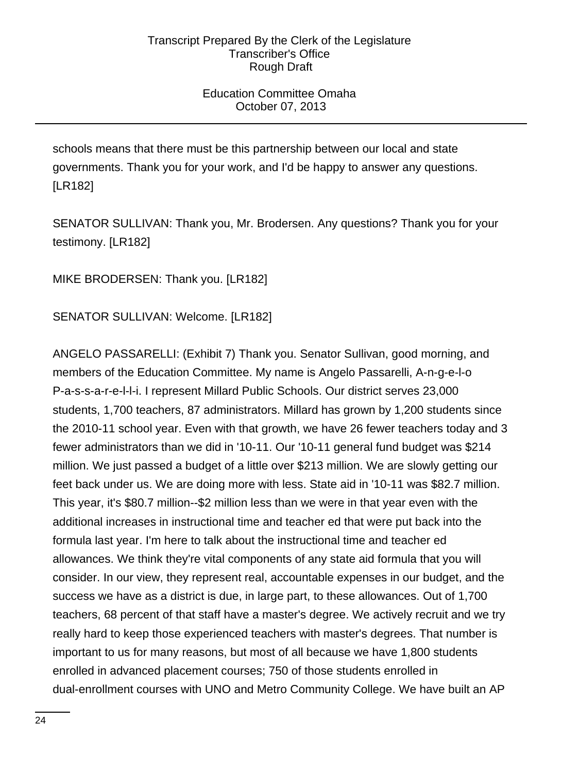## Education Committee Omaha October 07, 2013

schools means that there must be this partnership between our local and state governments. Thank you for your work, and I'd be happy to answer any questions. [LR182]

SENATOR SULLIVAN: Thank you, Mr. Brodersen. Any questions? Thank you for your testimony. [LR182]

MIKE BRODERSEN: Thank you. [LR182]

SENATOR SULLIVAN: Welcome. [LR182]

ANGELO PASSARELLI: (Exhibit 7) Thank you. Senator Sullivan, good morning, and members of the Education Committee. My name is Angelo Passarelli, A-n-g-e-l-o P-a-s-s-a-r-e-l-l-i. I represent Millard Public Schools. Our district serves 23,000 students, 1,700 teachers, 87 administrators. Millard has grown by 1,200 students since the 2010-11 school year. Even with that growth, we have 26 fewer teachers today and 3 fewer administrators than we did in '10-11. Our '10-11 general fund budget was \$214 million. We just passed a budget of a little over \$213 million. We are slowly getting our feet back under us. We are doing more with less. State aid in '10-11 was \$82.7 million. This year, it's \$80.7 million--\$2 million less than we were in that year even with the additional increases in instructional time and teacher ed that were put back into the formula last year. I'm here to talk about the instructional time and teacher ed allowances. We think they're vital components of any state aid formula that you will consider. In our view, they represent real, accountable expenses in our budget, and the success we have as a district is due, in large part, to these allowances. Out of 1,700 teachers, 68 percent of that staff have a master's degree. We actively recruit and we try really hard to keep those experienced teachers with master's degrees. That number is important to us for many reasons, but most of all because we have 1,800 students enrolled in advanced placement courses; 750 of those students enrolled in dual-enrollment courses with UNO and Metro Community College. We have built an AP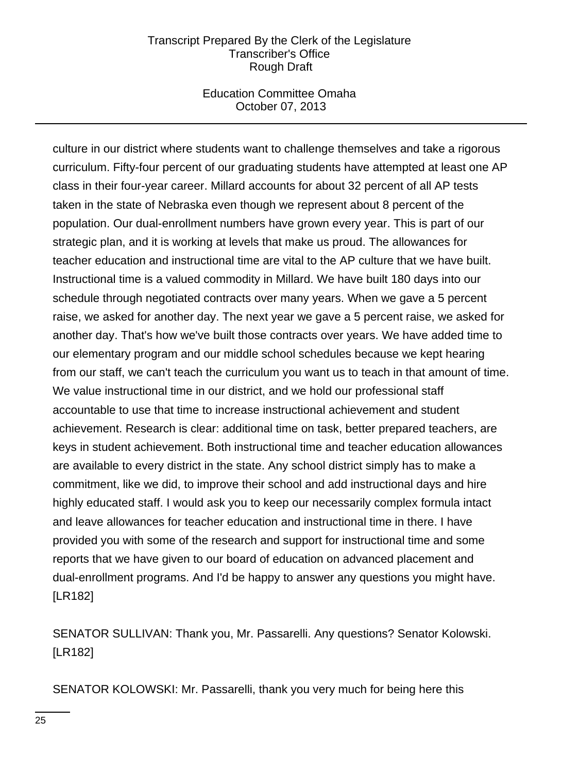## Education Committee Omaha October 07, 2013

culture in our district where students want to challenge themselves and take a rigorous curriculum. Fifty-four percent of our graduating students have attempted at least one AP class in their four-year career. Millard accounts for about 32 percent of all AP tests taken in the state of Nebraska even though we represent about 8 percent of the population. Our dual-enrollment numbers have grown every year. This is part of our strategic plan, and it is working at levels that make us proud. The allowances for teacher education and instructional time are vital to the AP culture that we have built. Instructional time is a valued commodity in Millard. We have built 180 days into our schedule through negotiated contracts over many years. When we gave a 5 percent raise, we asked for another day. The next year we gave a 5 percent raise, we asked for another day. That's how we've built those contracts over years. We have added time to our elementary program and our middle school schedules because we kept hearing from our staff, we can't teach the curriculum you want us to teach in that amount of time. We value instructional time in our district, and we hold our professional staff accountable to use that time to increase instructional achievement and student achievement. Research is clear: additional time on task, better prepared teachers, are keys in student achievement. Both instructional time and teacher education allowances are available to every district in the state. Any school district simply has to make a commitment, like we did, to improve their school and add instructional days and hire highly educated staff. I would ask you to keep our necessarily complex formula intact and leave allowances for teacher education and instructional time in there. I have provided you with some of the research and support for instructional time and some reports that we have given to our board of education on advanced placement and dual-enrollment programs. And I'd be happy to answer any questions you might have. [LR182]

SENATOR SULLIVAN: Thank you, Mr. Passarelli. Any questions? Senator Kolowski. [LR182]

SENATOR KOLOWSKI: Mr. Passarelli, thank you very much for being here this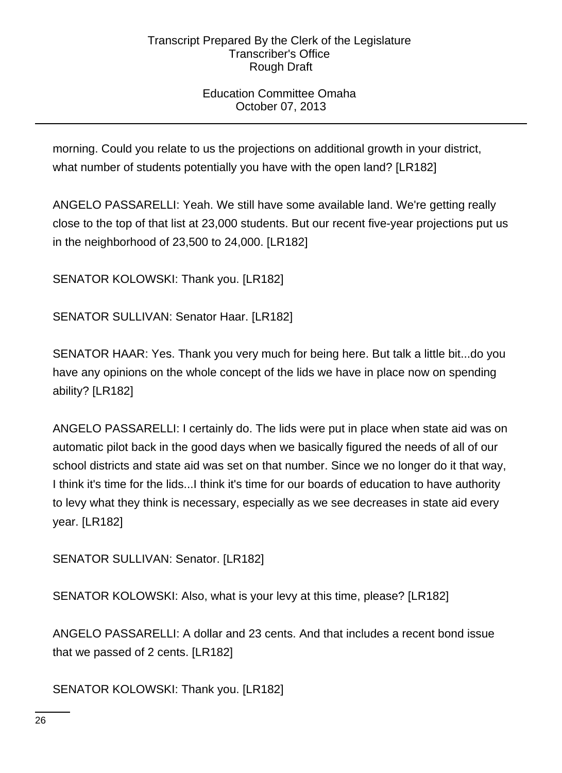## Education Committee Omaha October 07, 2013

morning. Could you relate to us the projections on additional growth in your district, what number of students potentially you have with the open land? [LR182]

ANGELO PASSARELLI: Yeah. We still have some available land. We're getting really close to the top of that list at 23,000 students. But our recent five-year projections put us in the neighborhood of 23,500 to 24,000. [LR182]

SENATOR KOLOWSKI: Thank you. [LR182]

SENATOR SULLIVAN: Senator Haar. [LR182]

SENATOR HAAR: Yes. Thank you very much for being here. But talk a little bit...do you have any opinions on the whole concept of the lids we have in place now on spending ability? [LR182]

ANGELO PASSARELLI: I certainly do. The lids were put in place when state aid was on automatic pilot back in the good days when we basically figured the needs of all of our school districts and state aid was set on that number. Since we no longer do it that way, I think it's time for the lids...I think it's time for our boards of education to have authority to levy what they think is necessary, especially as we see decreases in state aid every year. [LR182]

SENATOR SULLIVAN: Senator. [LR182]

SENATOR KOLOWSKI: Also, what is your levy at this time, please? [LR182]

ANGELO PASSARELLI: A dollar and 23 cents. And that includes a recent bond issue that we passed of 2 cents. [LR182]

SENATOR KOLOWSKI: Thank you. [LR182]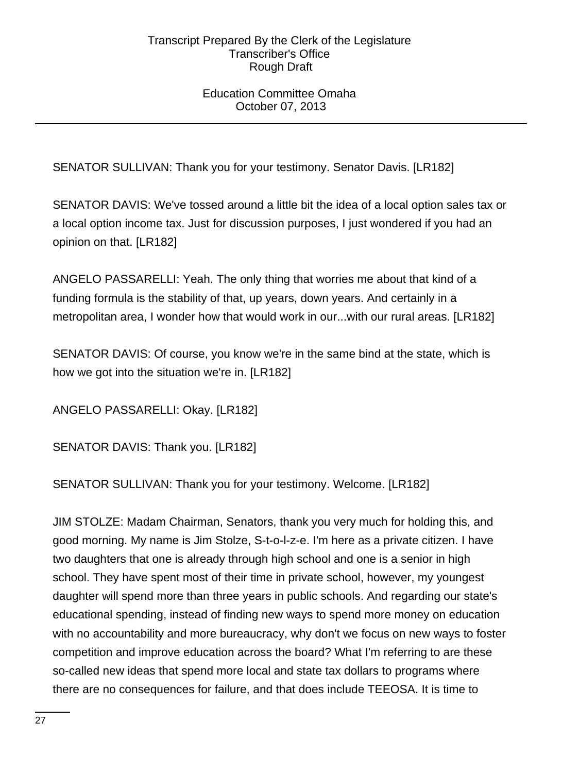## Education Committee Omaha October 07, 2013

SENATOR SULLIVAN: Thank you for your testimony. Senator Davis. [LR182]

SENATOR DAVIS: We've tossed around a little bit the idea of a local option sales tax or a local option income tax. Just for discussion purposes, I just wondered if you had an opinion on that. [LR182]

ANGELO PASSARELLI: Yeah. The only thing that worries me about that kind of a funding formula is the stability of that, up years, down years. And certainly in a metropolitan area, I wonder how that would work in our...with our rural areas. [LR182]

SENATOR DAVIS: Of course, you know we're in the same bind at the state, which is how we got into the situation we're in. [LR182]

ANGELO PASSARELLI: Okay. [LR182]

SENATOR DAVIS: Thank you. [LR182]

SENATOR SULLIVAN: Thank you for your testimony. Welcome. [LR182]

JIM STOLZE: Madam Chairman, Senators, thank you very much for holding this, and good morning. My name is Jim Stolze, S-t-o-l-z-e. I'm here as a private citizen. I have two daughters that one is already through high school and one is a senior in high school. They have spent most of their time in private school, however, my youngest daughter will spend more than three years in public schools. And regarding our state's educational spending, instead of finding new ways to spend more money on education with no accountability and more bureaucracy, why don't we focus on new ways to foster competition and improve education across the board? What I'm referring to are these so-called new ideas that spend more local and state tax dollars to programs where there are no consequences for failure, and that does include TEEOSA. It is time to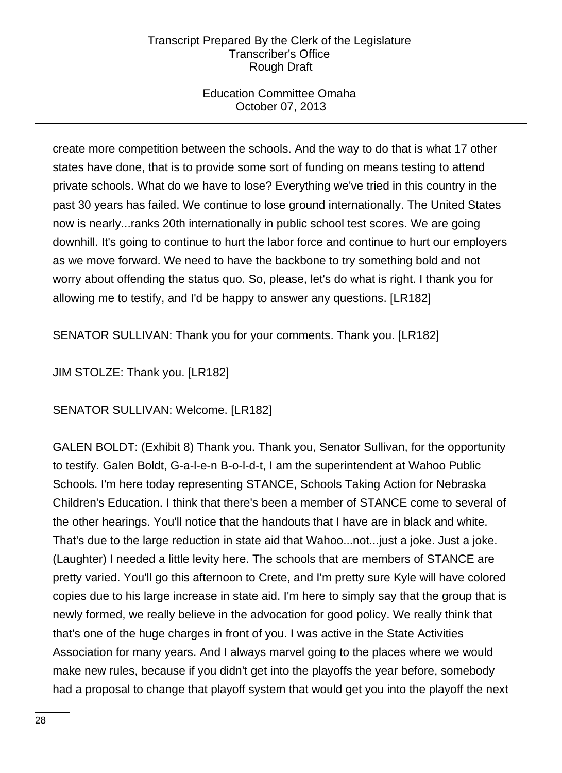## Education Committee Omaha October 07, 2013

create more competition between the schools. And the way to do that is what 17 other states have done, that is to provide some sort of funding on means testing to attend private schools. What do we have to lose? Everything we've tried in this country in the past 30 years has failed. We continue to lose ground internationally. The United States now is nearly...ranks 20th internationally in public school test scores. We are going downhill. It's going to continue to hurt the labor force and continue to hurt our employers as we move forward. We need to have the backbone to try something bold and not worry about offending the status quo. So, please, let's do what is right. I thank you for allowing me to testify, and I'd be happy to answer any questions. [LR182]

SENATOR SULLIVAN: Thank you for your comments. Thank you. [LR182]

# JIM STOLZE: Thank you. [LR182]

SENATOR SULLIVAN: Welcome. [LR182]

GALEN BOLDT: (Exhibit 8) Thank you. Thank you, Senator Sullivan, for the opportunity to testify. Galen Boldt, G-a-l-e-n B-o-l-d-t, I am the superintendent at Wahoo Public Schools. I'm here today representing STANCE, Schools Taking Action for Nebraska Children's Education. I think that there's been a member of STANCE come to several of the other hearings. You'll notice that the handouts that I have are in black and white. That's due to the large reduction in state aid that Wahoo...not...just a joke. Just a joke. (Laughter) I needed a little levity here. The schools that are members of STANCE are pretty varied. You'll go this afternoon to Crete, and I'm pretty sure Kyle will have colored copies due to his large increase in state aid. I'm here to simply say that the group that is newly formed, we really believe in the advocation for good policy. We really think that that's one of the huge charges in front of you. I was active in the State Activities Association for many years. And I always marvel going to the places where we would make new rules, because if you didn't get into the playoffs the year before, somebody had a proposal to change that playoff system that would get you into the playoff the next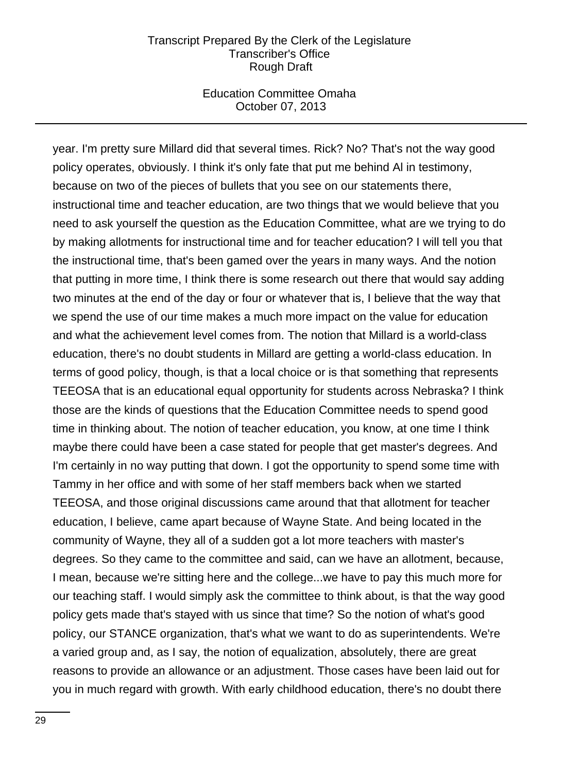### Education Committee Omaha October 07, 2013

year. I'm pretty sure Millard did that several times. Rick? No? That's not the way good policy operates, obviously. I think it's only fate that put me behind Al in testimony, because on two of the pieces of bullets that you see on our statements there, instructional time and teacher education, are two things that we would believe that you need to ask yourself the question as the Education Committee, what are we trying to do by making allotments for instructional time and for teacher education? I will tell you that the instructional time, that's been gamed over the years in many ways. And the notion that putting in more time, I think there is some research out there that would say adding two minutes at the end of the day or four or whatever that is, I believe that the way that we spend the use of our time makes a much more impact on the value for education and what the achievement level comes from. The notion that Millard is a world-class education, there's no doubt students in Millard are getting a world-class education. In terms of good policy, though, is that a local choice or is that something that represents TEEOSA that is an educational equal opportunity for students across Nebraska? I think those are the kinds of questions that the Education Committee needs to spend good time in thinking about. The notion of teacher education, you know, at one time I think maybe there could have been a case stated for people that get master's degrees. And I'm certainly in no way putting that down. I got the opportunity to spend some time with Tammy in her office and with some of her staff members back when we started TEEOSA, and those original discussions came around that that allotment for teacher education, I believe, came apart because of Wayne State. And being located in the community of Wayne, they all of a sudden got a lot more teachers with master's degrees. So they came to the committee and said, can we have an allotment, because, I mean, because we're sitting here and the college...we have to pay this much more for our teaching staff. I would simply ask the committee to think about, is that the way good policy gets made that's stayed with us since that time? So the notion of what's good policy, our STANCE organization, that's what we want to do as superintendents. We're a varied group and, as I say, the notion of equalization, absolutely, there are great reasons to provide an allowance or an adjustment. Those cases have been laid out for you in much regard with growth. With early childhood education, there's no doubt there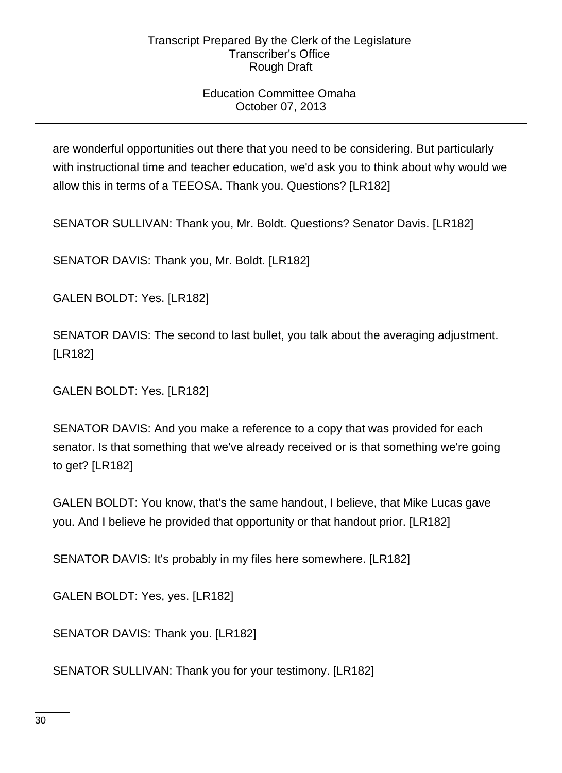## Education Committee Omaha October 07, 2013

are wonderful opportunities out there that you need to be considering. But particularly with instructional time and teacher education, we'd ask you to think about why would we allow this in terms of a TEEOSA. Thank you. Questions? [LR182]

SENATOR SULLIVAN: Thank you, Mr. Boldt. Questions? Senator Davis. [LR182]

SENATOR DAVIS: Thank you, Mr. Boldt. [LR182]

GALEN BOLDT: Yes. [LR182]

SENATOR DAVIS: The second to last bullet, you talk about the averaging adjustment. [LR182]

GALEN BOLDT: Yes. [LR182]

SENATOR DAVIS: And you make a reference to a copy that was provided for each senator. Is that something that we've already received or is that something we're going to get? [LR182]

GALEN BOLDT: You know, that's the same handout, I believe, that Mike Lucas gave you. And I believe he provided that opportunity or that handout prior. [LR182]

SENATOR DAVIS: It's probably in my files here somewhere. [LR182]

GALEN BOLDT: Yes, yes. [LR182]

SENATOR DAVIS: Thank you. [LR182]

SENATOR SULLIVAN: Thank you for your testimony. [LR182]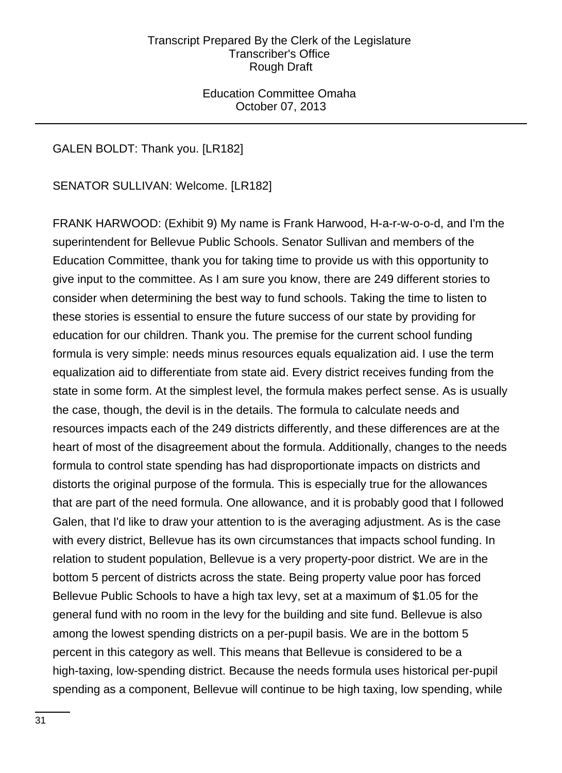Education Committee Omaha October 07, 2013

## GALEN BOLDT: Thank you. [LR182]

SENATOR SULLIVAN: Welcome. [LR182]

FRANK HARWOOD: (Exhibit 9) My name is Frank Harwood, H-a-r-w-o-o-d, and I'm the superintendent for Bellevue Public Schools. Senator Sullivan and members of the Education Committee, thank you for taking time to provide us with this opportunity to give input to the committee. As I am sure you know, there are 249 different stories to consider when determining the best way to fund schools. Taking the time to listen to these stories is essential to ensure the future success of our state by providing for education for our children. Thank you. The premise for the current school funding formula is very simple: needs minus resources equals equalization aid. I use the term equalization aid to differentiate from state aid. Every district receives funding from the state in some form. At the simplest level, the formula makes perfect sense. As is usually the case, though, the devil is in the details. The formula to calculate needs and resources impacts each of the 249 districts differently, and these differences are at the heart of most of the disagreement about the formula. Additionally, changes to the needs formula to control state spending has had disproportionate impacts on districts and distorts the original purpose of the formula. This is especially true for the allowances that are part of the need formula. One allowance, and it is probably good that I followed Galen, that I'd like to draw your attention to is the averaging adjustment. As is the case with every district, Bellevue has its own circumstances that impacts school funding. In relation to student population, Bellevue is a very property-poor district. We are in the bottom 5 percent of districts across the state. Being property value poor has forced Bellevue Public Schools to have a high tax levy, set at a maximum of \$1.05 for the general fund with no room in the levy for the building and site fund. Bellevue is also among the lowest spending districts on a per-pupil basis. We are in the bottom 5 percent in this category as well. This means that Bellevue is considered to be a high-taxing, low-spending district. Because the needs formula uses historical per-pupil spending as a component, Bellevue will continue to be high taxing, low spending, while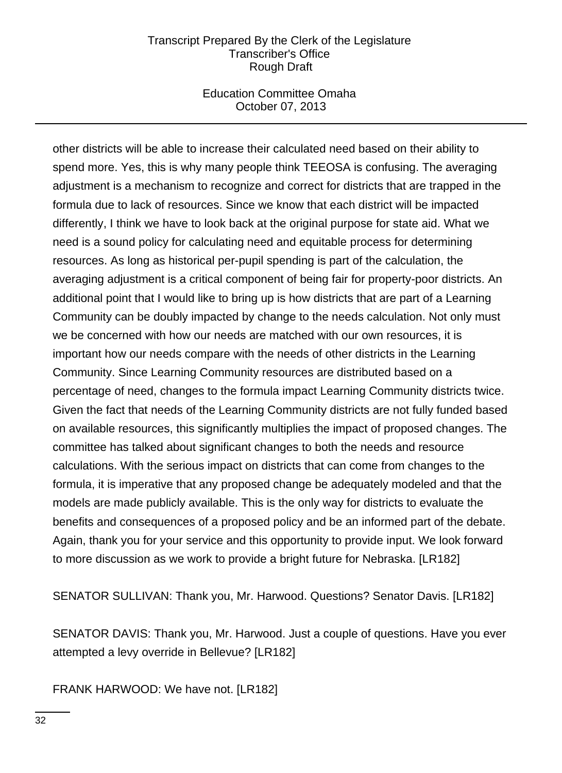### Education Committee Omaha October 07, 2013

other districts will be able to increase their calculated need based on their ability to spend more. Yes, this is why many people think TEEOSA is confusing. The averaging adjustment is a mechanism to recognize and correct for districts that are trapped in the formula due to lack of resources. Since we know that each district will be impacted differently, I think we have to look back at the original purpose for state aid. What we need is a sound policy for calculating need and equitable process for determining resources. As long as historical per-pupil spending is part of the calculation, the averaging adjustment is a critical component of being fair for property-poor districts. An additional point that I would like to bring up is how districts that are part of a Learning Community can be doubly impacted by change to the needs calculation. Not only must we be concerned with how our needs are matched with our own resources, it is important how our needs compare with the needs of other districts in the Learning Community. Since Learning Community resources are distributed based on a percentage of need, changes to the formula impact Learning Community districts twice. Given the fact that needs of the Learning Community districts are not fully funded based on available resources, this significantly multiplies the impact of proposed changes. The committee has talked about significant changes to both the needs and resource calculations. With the serious impact on districts that can come from changes to the formula, it is imperative that any proposed change be adequately modeled and that the models are made publicly available. This is the only way for districts to evaluate the benefits and consequences of a proposed policy and be an informed part of the debate. Again, thank you for your service and this opportunity to provide input. We look forward to more discussion as we work to provide a bright future for Nebraska. [LR182]

SENATOR SULLIVAN: Thank you, Mr. Harwood. Questions? Senator Davis. [LR182]

SENATOR DAVIS: Thank you, Mr. Harwood. Just a couple of questions. Have you ever attempted a levy override in Bellevue? [LR182]

FRANK HARWOOD: We have not. [LR182]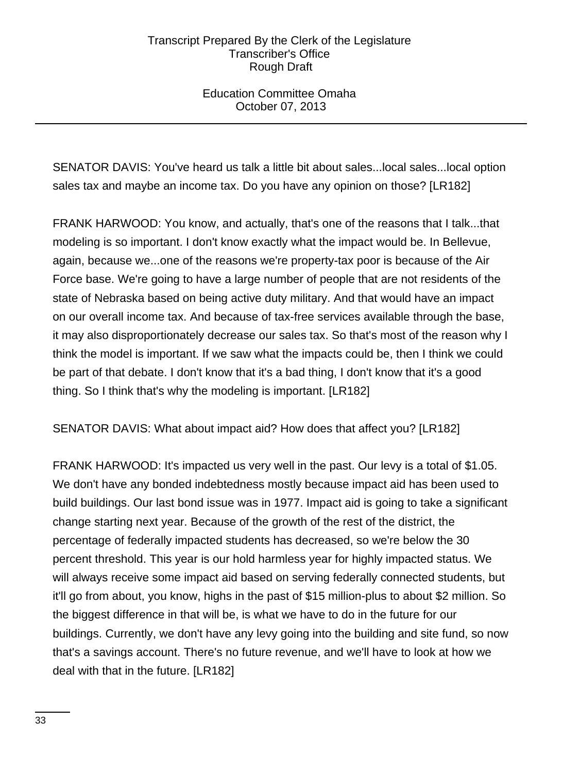## Education Committee Omaha October 07, 2013

SENATOR DAVIS: You've heard us talk a little bit about sales...local sales...local option sales tax and maybe an income tax. Do you have any opinion on those? [LR182]

FRANK HARWOOD: You know, and actually, that's one of the reasons that I talk...that modeling is so important. I don't know exactly what the impact would be. In Bellevue, again, because we...one of the reasons we're property-tax poor is because of the Air Force base. We're going to have a large number of people that are not residents of the state of Nebraska based on being active duty military. And that would have an impact on our overall income tax. And because of tax-free services available through the base, it may also disproportionately decrease our sales tax. So that's most of the reason why I think the model is important. If we saw what the impacts could be, then I think we could be part of that debate. I don't know that it's a bad thing, I don't know that it's a good thing. So I think that's why the modeling is important. [LR182]

## SENATOR DAVIS: What about impact aid? How does that affect you? [LR182]

FRANK HARWOOD: It's impacted us very well in the past. Our levy is a total of \$1.05. We don't have any bonded indebtedness mostly because impact aid has been used to build buildings. Our last bond issue was in 1977. Impact aid is going to take a significant change starting next year. Because of the growth of the rest of the district, the percentage of federally impacted students has decreased, so we're below the 30 percent threshold. This year is our hold harmless year for highly impacted status. We will always receive some impact aid based on serving federally connected students, but it'll go from about, you know, highs in the past of \$15 million-plus to about \$2 million. So the biggest difference in that will be, is what we have to do in the future for our buildings. Currently, we don't have any levy going into the building and site fund, so now that's a savings account. There's no future revenue, and we'll have to look at how we deal with that in the future. [LR182]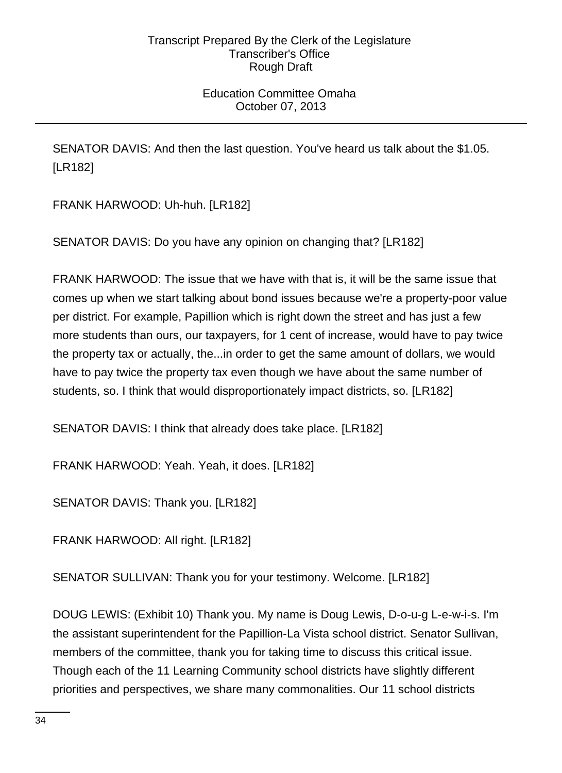## Education Committee Omaha October 07, 2013

SENATOR DAVIS: And then the last question. You've heard us talk about the \$1.05. [LR182]

FRANK HARWOOD: Uh-huh. [LR182]

SENATOR DAVIS: Do you have any opinion on changing that? [LR182]

FRANK HARWOOD: The issue that we have with that is, it will be the same issue that comes up when we start talking about bond issues because we're a property-poor value per district. For example, Papillion which is right down the street and has just a few more students than ours, our taxpayers, for 1 cent of increase, would have to pay twice the property tax or actually, the...in order to get the same amount of dollars, we would have to pay twice the property tax even though we have about the same number of students, so. I think that would disproportionately impact districts, so. [LR182]

SENATOR DAVIS: I think that already does take place. [LR182]

FRANK HARWOOD: Yeah. Yeah, it does. [LR182]

SENATOR DAVIS: Thank you. [LR182]

FRANK HARWOOD: All right. [LR182]

SENATOR SULLIVAN: Thank you for your testimony. Welcome. [LR182]

DOUG LEWIS: (Exhibit 10) Thank you. My name is Doug Lewis, D-o-u-g L-e-w-i-s. I'm the assistant superintendent for the Papillion-La Vista school district. Senator Sullivan, members of the committee, thank you for taking time to discuss this critical issue. Though each of the 11 Learning Community school districts have slightly different priorities and perspectives, we share many commonalities. Our 11 school districts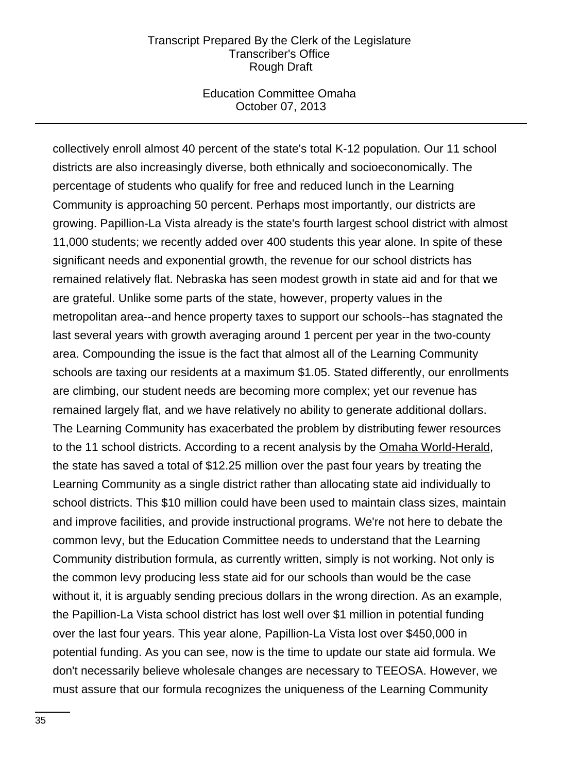#### Education Committee Omaha October 07, 2013

collectively enroll almost 40 percent of the state's total K-12 population. Our 11 school districts are also increasingly diverse, both ethnically and socioeconomically. The percentage of students who qualify for free and reduced lunch in the Learning Community is approaching 50 percent. Perhaps most importantly, our districts are growing. Papillion-La Vista already is the state's fourth largest school district with almost 11,000 students; we recently added over 400 students this year alone. In spite of these significant needs and exponential growth, the revenue for our school districts has remained relatively flat. Nebraska has seen modest growth in state aid and for that we are grateful. Unlike some parts of the state, however, property values in the metropolitan area--and hence property taxes to support our schools--has stagnated the last several years with growth averaging around 1 percent per year in the two-county area. Compounding the issue is the fact that almost all of the Learning Community schools are taxing our residents at a maximum \$1.05. Stated differently, our enrollments are climbing, our student needs are becoming more complex; yet our revenue has remained largely flat, and we have relatively no ability to generate additional dollars. The Learning Community has exacerbated the problem by distributing fewer resources to the 11 school districts. According to a recent analysis by the Omaha World-Herald, the state has saved a total of \$12.25 million over the past four years by treating the Learning Community as a single district rather than allocating state aid individually to school districts. This \$10 million could have been used to maintain class sizes, maintain and improve facilities, and provide instructional programs. We're not here to debate the common levy, but the Education Committee needs to understand that the Learning Community distribution formula, as currently written, simply is not working. Not only is the common levy producing less state aid for our schools than would be the case without it, it is arguably sending precious dollars in the wrong direction. As an example, the Papillion-La Vista school district has lost well over \$1 million in potential funding over the last four years. This year alone, Papillion-La Vista lost over \$450,000 in potential funding. As you can see, now is the time to update our state aid formula. We don't necessarily believe wholesale changes are necessary to TEEOSA. However, we must assure that our formula recognizes the uniqueness of the Learning Community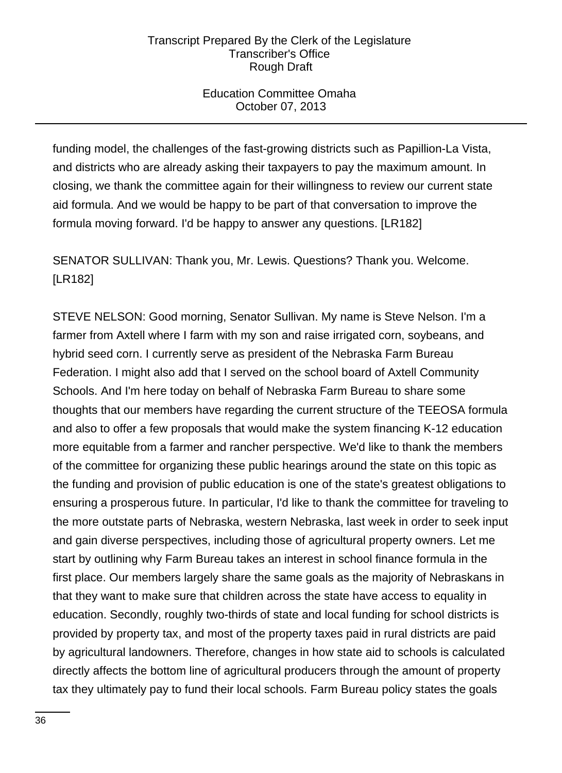## Education Committee Omaha October 07, 2013

funding model, the challenges of the fast-growing districts such as Papillion-La Vista, and districts who are already asking their taxpayers to pay the maximum amount. In closing, we thank the committee again for their willingness to review our current state aid formula. And we would be happy to be part of that conversation to improve the formula moving forward. I'd be happy to answer any questions. [LR182]

SENATOR SULLIVAN: Thank you, Mr. Lewis. Questions? Thank you. Welcome. [LR182]

STEVE NELSON: Good morning, Senator Sullivan. My name is Steve Nelson. I'm a farmer from Axtell where I farm with my son and raise irrigated corn, soybeans, and hybrid seed corn. I currently serve as president of the Nebraska Farm Bureau Federation. I might also add that I served on the school board of Axtell Community Schools. And I'm here today on behalf of Nebraska Farm Bureau to share some thoughts that our members have regarding the current structure of the TEEOSA formula and also to offer a few proposals that would make the system financing K-12 education more equitable from a farmer and rancher perspective. We'd like to thank the members of the committee for organizing these public hearings around the state on this topic as the funding and provision of public education is one of the state's greatest obligations to ensuring a prosperous future. In particular, I'd like to thank the committee for traveling to the more outstate parts of Nebraska, western Nebraska, last week in order to seek input and gain diverse perspectives, including those of agricultural property owners. Let me start by outlining why Farm Bureau takes an interest in school finance formula in the first place. Our members largely share the same goals as the majority of Nebraskans in that they want to make sure that children across the state have access to equality in education. Secondly, roughly two-thirds of state and local funding for school districts is provided by property tax, and most of the property taxes paid in rural districts are paid by agricultural landowners. Therefore, changes in how state aid to schools is calculated directly affects the bottom line of agricultural producers through the amount of property tax they ultimately pay to fund their local schools. Farm Bureau policy states the goals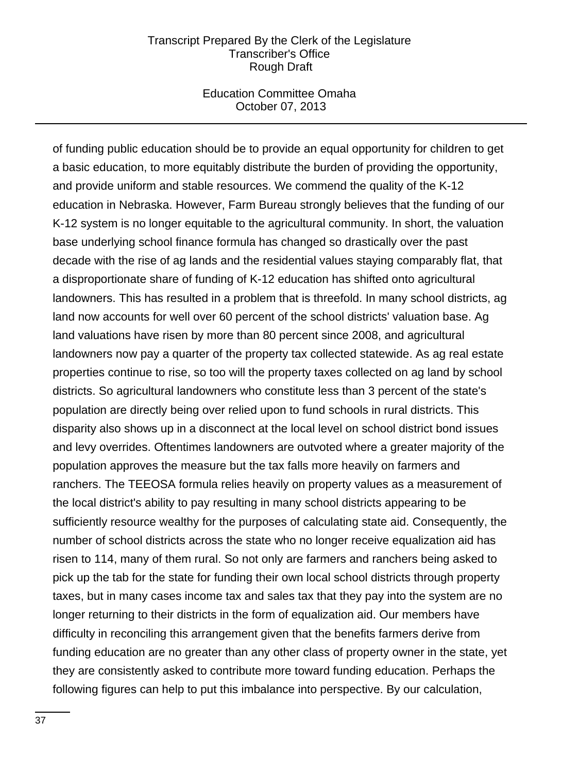### Education Committee Omaha October 07, 2013

of funding public education should be to provide an equal opportunity for children to get a basic education, to more equitably distribute the burden of providing the opportunity, and provide uniform and stable resources. We commend the quality of the K-12 education in Nebraska. However, Farm Bureau strongly believes that the funding of our K-12 system is no longer equitable to the agricultural community. In short, the valuation base underlying school finance formula has changed so drastically over the past decade with the rise of ag lands and the residential values staying comparably flat, that a disproportionate share of funding of K-12 education has shifted onto agricultural landowners. This has resulted in a problem that is threefold. In many school districts, ag land now accounts for well over 60 percent of the school districts' valuation base. Ag land valuations have risen by more than 80 percent since 2008, and agricultural landowners now pay a quarter of the property tax collected statewide. As ag real estate properties continue to rise, so too will the property taxes collected on ag land by school districts. So agricultural landowners who constitute less than 3 percent of the state's population are directly being over relied upon to fund schools in rural districts. This disparity also shows up in a disconnect at the local level on school district bond issues and levy overrides. Oftentimes landowners are outvoted where a greater majority of the population approves the measure but the tax falls more heavily on farmers and ranchers. The TEEOSA formula relies heavily on property values as a measurement of the local district's ability to pay resulting in many school districts appearing to be sufficiently resource wealthy for the purposes of calculating state aid. Consequently, the number of school districts across the state who no longer receive equalization aid has risen to 114, many of them rural. So not only are farmers and ranchers being asked to pick up the tab for the state for funding their own local school districts through property taxes, but in many cases income tax and sales tax that they pay into the system are no longer returning to their districts in the form of equalization aid. Our members have difficulty in reconciling this arrangement given that the benefits farmers derive from funding education are no greater than any other class of property owner in the state, yet they are consistently asked to contribute more toward funding education. Perhaps the following figures can help to put this imbalance into perspective. By our calculation,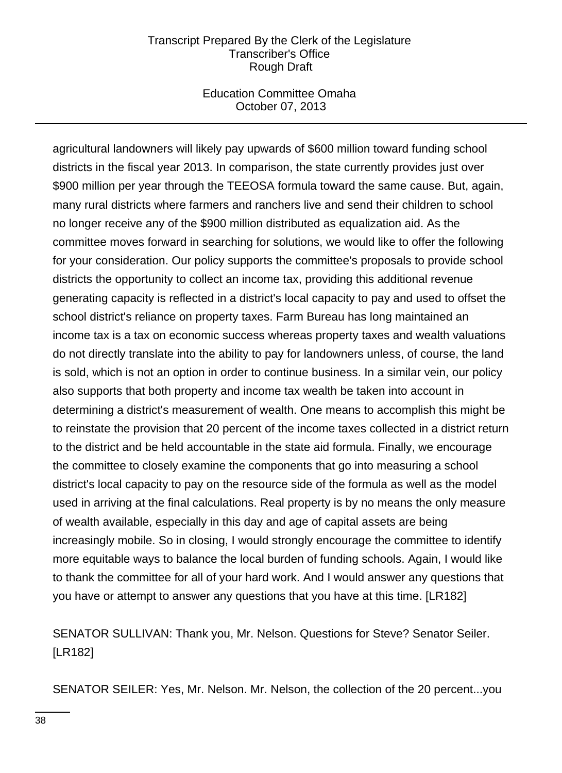### Education Committee Omaha October 07, 2013

agricultural landowners will likely pay upwards of \$600 million toward funding school districts in the fiscal year 2013. In comparison, the state currently provides just over \$900 million per year through the TEEOSA formula toward the same cause. But, again, many rural districts where farmers and ranchers live and send their children to school no longer receive any of the \$900 million distributed as equalization aid. As the committee moves forward in searching for solutions, we would like to offer the following for your consideration. Our policy supports the committee's proposals to provide school districts the opportunity to collect an income tax, providing this additional revenue generating capacity is reflected in a district's local capacity to pay and used to offset the school district's reliance on property taxes. Farm Bureau has long maintained an income tax is a tax on economic success whereas property taxes and wealth valuations do not directly translate into the ability to pay for landowners unless, of course, the land is sold, which is not an option in order to continue business. In a similar vein, our policy also supports that both property and income tax wealth be taken into account in determining a district's measurement of wealth. One means to accomplish this might be to reinstate the provision that 20 percent of the income taxes collected in a district return to the district and be held accountable in the state aid formula. Finally, we encourage the committee to closely examine the components that go into measuring a school district's local capacity to pay on the resource side of the formula as well as the model used in arriving at the final calculations. Real property is by no means the only measure of wealth available, especially in this day and age of capital assets are being increasingly mobile. So in closing, I would strongly encourage the committee to identify more equitable ways to balance the local burden of funding schools. Again, I would like to thank the committee for all of your hard work. And I would answer any questions that you have or attempt to answer any questions that you have at this time. [LR182]

SENATOR SULLIVAN: Thank you, Mr. Nelson. Questions for Steve? Senator Seiler. [LR182]

SENATOR SEILER: Yes, Mr. Nelson. Mr. Nelson, the collection of the 20 percent...you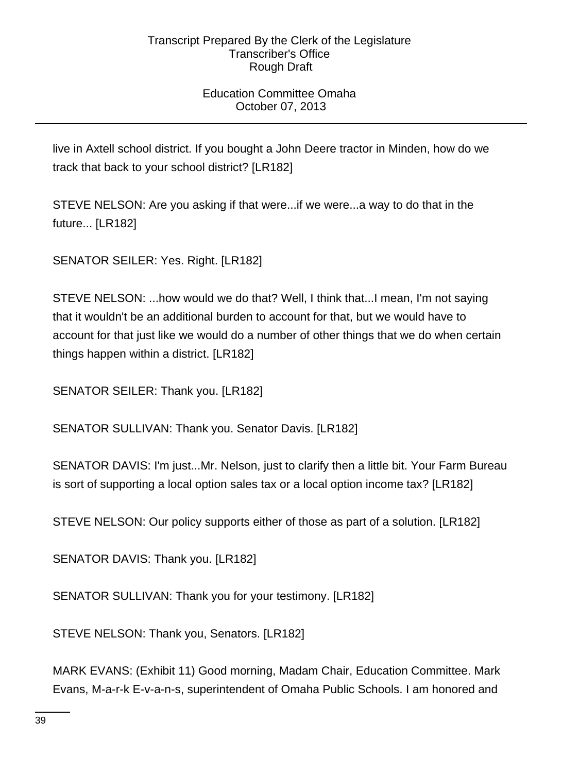## Education Committee Omaha October 07, 2013

live in Axtell school district. If you bought a John Deere tractor in Minden, how do we track that back to your school district? [LR182]

STEVE NELSON: Are you asking if that were...if we were...a way to do that in the future... [LR182]

SENATOR SEILER: Yes. Right. [LR182]

STEVE NELSON: ...how would we do that? Well, I think that...I mean, I'm not saying that it wouldn't be an additional burden to account for that, but we would have to account for that just like we would do a number of other things that we do when certain things happen within a district. [LR182]

SENATOR SEILER: Thank you. [LR182]

SENATOR SULLIVAN: Thank you. Senator Davis. [LR182]

SENATOR DAVIS: I'm just...Mr. Nelson, just to clarify then a little bit. Your Farm Bureau is sort of supporting a local option sales tax or a local option income tax? [LR182]

STEVE NELSON: Our policy supports either of those as part of a solution. [LR182]

SENATOR DAVIS: Thank you. [LR182]

SENATOR SULLIVAN: Thank you for your testimony. [LR182]

STEVE NELSON: Thank you, Senators. [LR182]

MARK EVANS: (Exhibit 11) Good morning, Madam Chair, Education Committee. Mark Evans, M-a-r-k E-v-a-n-s, superintendent of Omaha Public Schools. I am honored and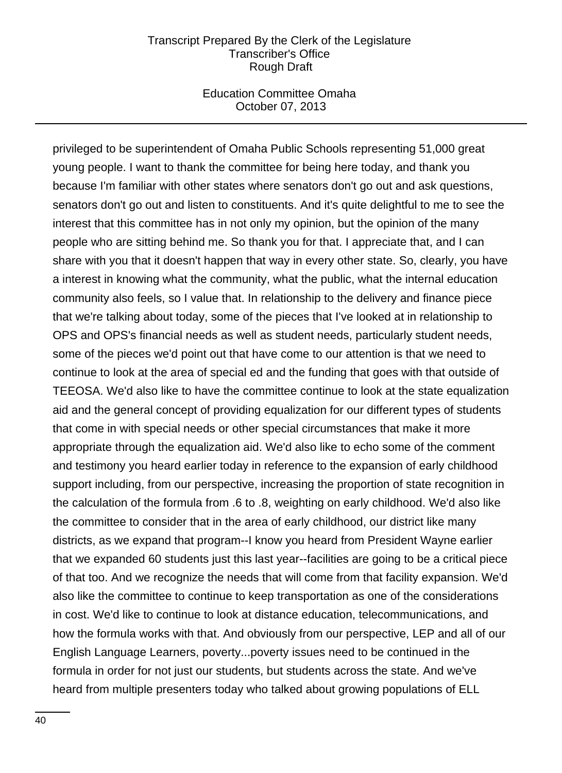### Education Committee Omaha October 07, 2013

privileged to be superintendent of Omaha Public Schools representing 51,000 great young people. I want to thank the committee for being here today, and thank you because I'm familiar with other states where senators don't go out and ask questions, senators don't go out and listen to constituents. And it's quite delightful to me to see the interest that this committee has in not only my opinion, but the opinion of the many people who are sitting behind me. So thank you for that. I appreciate that, and I can share with you that it doesn't happen that way in every other state. So, clearly, you have a interest in knowing what the community, what the public, what the internal education community also feels, so I value that. In relationship to the delivery and finance piece that we're talking about today, some of the pieces that I've looked at in relationship to OPS and OPS's financial needs as well as student needs, particularly student needs, some of the pieces we'd point out that have come to our attention is that we need to continue to look at the area of special ed and the funding that goes with that outside of TEEOSA. We'd also like to have the committee continue to look at the state equalization aid and the general concept of providing equalization for our different types of students that come in with special needs or other special circumstances that make it more appropriate through the equalization aid. We'd also like to echo some of the comment and testimony you heard earlier today in reference to the expansion of early childhood support including, from our perspective, increasing the proportion of state recognition in the calculation of the formula from .6 to .8, weighting on early childhood. We'd also like the committee to consider that in the area of early childhood, our district like many districts, as we expand that program--I know you heard from President Wayne earlier that we expanded 60 students just this last year--facilities are going to be a critical piece of that too. And we recognize the needs that will come from that facility expansion. We'd also like the committee to continue to keep transportation as one of the considerations in cost. We'd like to continue to look at distance education, telecommunications, and how the formula works with that. And obviously from our perspective, LEP and all of our English Language Learners, poverty...poverty issues need to be continued in the formula in order for not just our students, but students across the state. And we've heard from multiple presenters today who talked about growing populations of ELL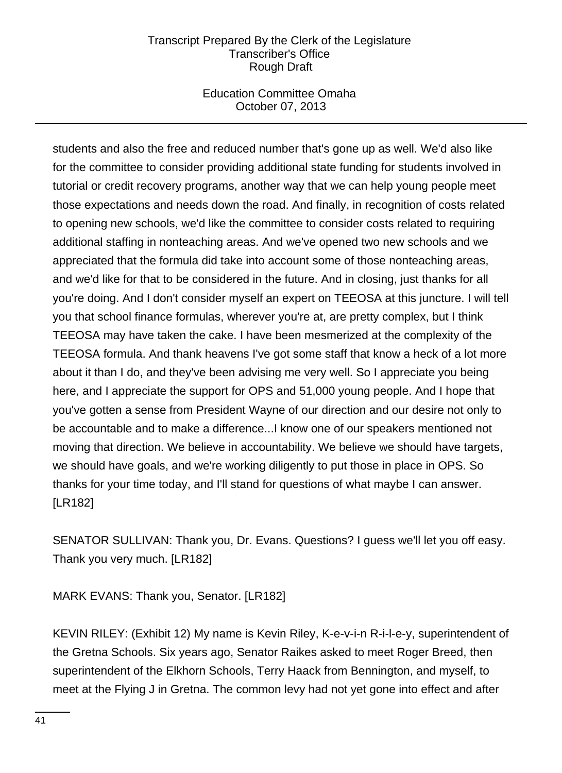## Education Committee Omaha October 07, 2013

students and also the free and reduced number that's gone up as well. We'd also like for the committee to consider providing additional state funding for students involved in tutorial or credit recovery programs, another way that we can help young people meet those expectations and needs down the road. And finally, in recognition of costs related to opening new schools, we'd like the committee to consider costs related to requiring additional staffing in nonteaching areas. And we've opened two new schools and we appreciated that the formula did take into account some of those nonteaching areas, and we'd like for that to be considered in the future. And in closing, just thanks for all you're doing. And I don't consider myself an expert on TEEOSA at this juncture. I will tell you that school finance formulas, wherever you're at, are pretty complex, but I think TEEOSA may have taken the cake. I have been mesmerized at the complexity of the TEEOSA formula. And thank heavens I've got some staff that know a heck of a lot more about it than I do, and they've been advising me very well. So I appreciate you being here, and I appreciate the support for OPS and 51,000 young people. And I hope that you've gotten a sense from President Wayne of our direction and our desire not only to be accountable and to make a difference...I know one of our speakers mentioned not moving that direction. We believe in accountability. We believe we should have targets, we should have goals, and we're working diligently to put those in place in OPS. So thanks for your time today, and I'll stand for questions of what maybe I can answer. [LR182]

SENATOR SULLIVAN: Thank you, Dr. Evans. Questions? I guess we'll let you off easy. Thank you very much. [LR182]

MARK EVANS: Thank you, Senator. [LR182]

KEVIN RILEY: (Exhibit 12) My name is Kevin Riley, K-e-v-i-n R-i-l-e-y, superintendent of the Gretna Schools. Six years ago, Senator Raikes asked to meet Roger Breed, then superintendent of the Elkhorn Schools, Terry Haack from Bennington, and myself, to meet at the Flying J in Gretna. The common levy had not yet gone into effect and after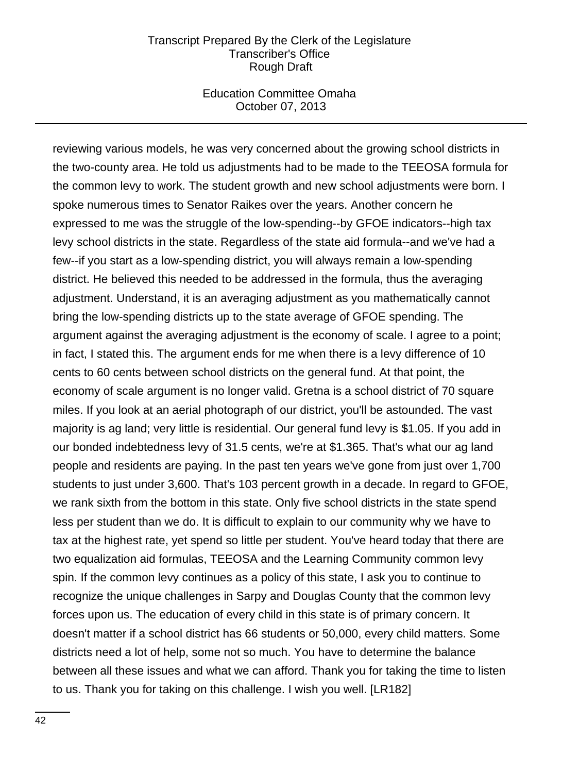#### Education Committee Omaha October 07, 2013

reviewing various models, he was very concerned about the growing school districts in the two-county area. He told us adjustments had to be made to the TEEOSA formula for the common levy to work. The student growth and new school adjustments were born. I spoke numerous times to Senator Raikes over the years. Another concern he expressed to me was the struggle of the low-spending--by GFOE indicators--high tax levy school districts in the state. Regardless of the state aid formula--and we've had a few--if you start as a low-spending district, you will always remain a low-spending district. He believed this needed to be addressed in the formula, thus the averaging adjustment. Understand, it is an averaging adjustment as you mathematically cannot bring the low-spending districts up to the state average of GFOE spending. The argument against the averaging adjustment is the economy of scale. I agree to a point; in fact, I stated this. The argument ends for me when there is a levy difference of 10 cents to 60 cents between school districts on the general fund. At that point, the economy of scale argument is no longer valid. Gretna is a school district of 70 square miles. If you look at an aerial photograph of our district, you'll be astounded. The vast majority is ag land; very little is residential. Our general fund levy is \$1.05. If you add in our bonded indebtedness levy of 31.5 cents, we're at \$1.365. That's what our ag land people and residents are paying. In the past ten years we've gone from just over 1,700 students to just under 3,600. That's 103 percent growth in a decade. In regard to GFOE, we rank sixth from the bottom in this state. Only five school districts in the state spend less per student than we do. It is difficult to explain to our community why we have to tax at the highest rate, yet spend so little per student. You've heard today that there are two equalization aid formulas, TEEOSA and the Learning Community common levy spin. If the common levy continues as a policy of this state, I ask you to continue to recognize the unique challenges in Sarpy and Douglas County that the common levy forces upon us. The education of every child in this state is of primary concern. It doesn't matter if a school district has 66 students or 50,000, every child matters. Some districts need a lot of help, some not so much. You have to determine the balance between all these issues and what we can afford. Thank you for taking the time to listen to us. Thank you for taking on this challenge. I wish you well. [LR182]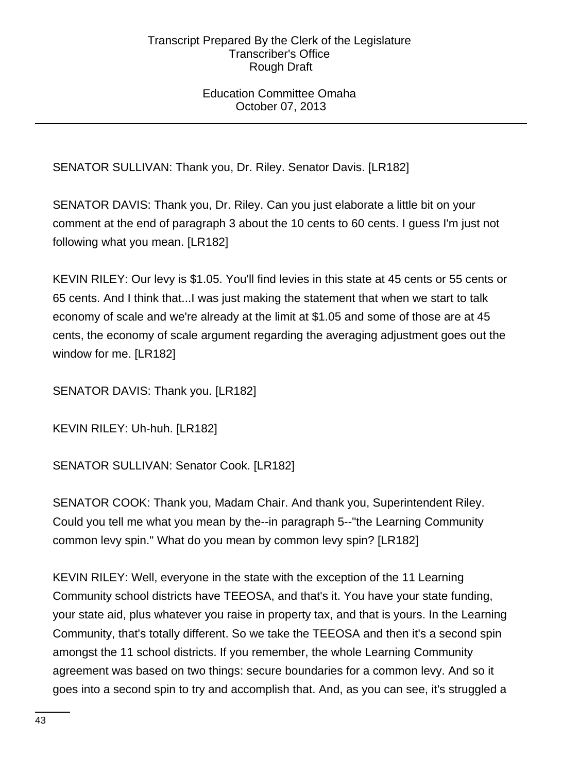## Education Committee Omaha October 07, 2013

SENATOR SULLIVAN: Thank you, Dr. Riley. Senator Davis. [LR182]

SENATOR DAVIS: Thank you, Dr. Riley. Can you just elaborate a little bit on your comment at the end of paragraph 3 about the 10 cents to 60 cents. I guess I'm just not following what you mean. [LR182]

KEVIN RILEY: Our levy is \$1.05. You'll find levies in this state at 45 cents or 55 cents or 65 cents. And I think that...I was just making the statement that when we start to talk economy of scale and we're already at the limit at \$1.05 and some of those are at 45 cents, the economy of scale argument regarding the averaging adjustment goes out the window for me. [LR182]

SENATOR DAVIS: Thank you. [LR182]

KEVIN RILEY: Uh-huh. [LR182]

SENATOR SULLIVAN: Senator Cook. [LR182]

SENATOR COOK: Thank you, Madam Chair. And thank you, Superintendent Riley. Could you tell me what you mean by the--in paragraph 5--"the Learning Community common levy spin." What do you mean by common levy spin? [LR182]

KEVIN RILEY: Well, everyone in the state with the exception of the 11 Learning Community school districts have TEEOSA, and that's it. You have your state funding, your state aid, plus whatever you raise in property tax, and that is yours. In the Learning Community, that's totally different. So we take the TEEOSA and then it's a second spin amongst the 11 school districts. If you remember, the whole Learning Community agreement was based on two things: secure boundaries for a common levy. And so it goes into a second spin to try and accomplish that. And, as you can see, it's struggled a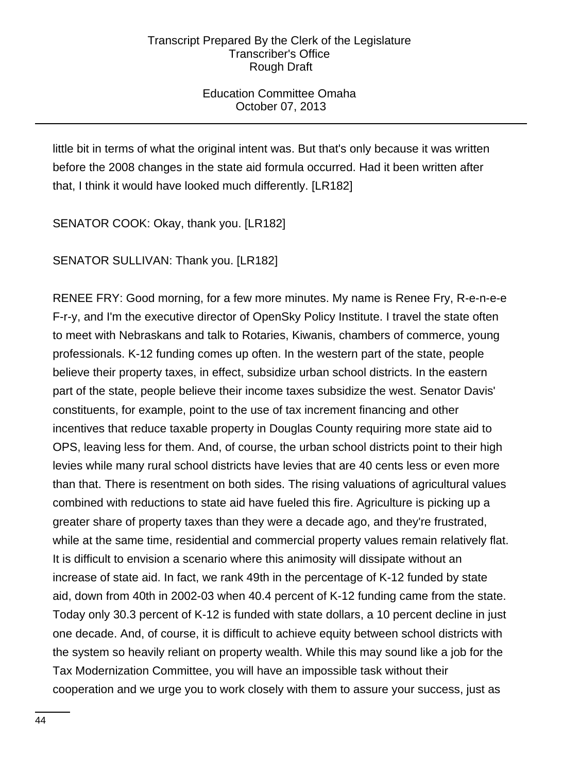Education Committee Omaha October 07, 2013

little bit in terms of what the original intent was. But that's only because it was written before the 2008 changes in the state aid formula occurred. Had it been written after that, I think it would have looked much differently. [LR182]

SENATOR COOK: Okay, thank you. [LR182]

SENATOR SULLIVAN: Thank you. [LR182]

RENEE FRY: Good morning, for a few more minutes. My name is Renee Fry, R-e-n-e-e F-r-y, and I'm the executive director of OpenSky Policy Institute. I travel the state often to meet with Nebraskans and talk to Rotaries, Kiwanis, chambers of commerce, young professionals. K-12 funding comes up often. In the western part of the state, people believe their property taxes, in effect, subsidize urban school districts. In the eastern part of the state, people believe their income taxes subsidize the west. Senator Davis' constituents, for example, point to the use of tax increment financing and other incentives that reduce taxable property in Douglas County requiring more state aid to OPS, leaving less for them. And, of course, the urban school districts point to their high levies while many rural school districts have levies that are 40 cents less or even more than that. There is resentment on both sides. The rising valuations of agricultural values combined with reductions to state aid have fueled this fire. Agriculture is picking up a greater share of property taxes than they were a decade ago, and they're frustrated, while at the same time, residential and commercial property values remain relatively flat. It is difficult to envision a scenario where this animosity will dissipate without an increase of state aid. In fact, we rank 49th in the percentage of K-12 funded by state aid, down from 40th in 2002-03 when 40.4 percent of K-12 funding came from the state. Today only 30.3 percent of K-12 is funded with state dollars, a 10 percent decline in just one decade. And, of course, it is difficult to achieve equity between school districts with the system so heavily reliant on property wealth. While this may sound like a job for the Tax Modernization Committee, you will have an impossible task without their cooperation and we urge you to work closely with them to assure your success, just as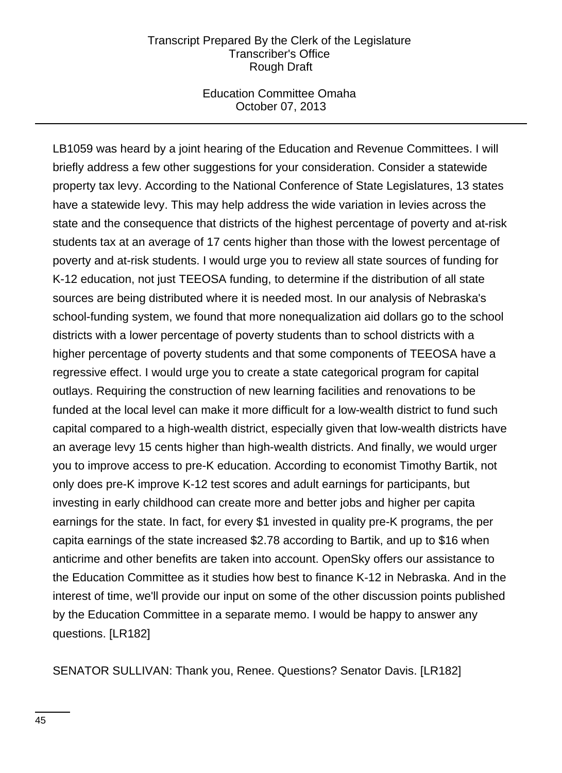### Education Committee Omaha October 07, 2013

LB1059 was heard by a joint hearing of the Education and Revenue Committees. I will briefly address a few other suggestions for your consideration. Consider a statewide property tax levy. According to the National Conference of State Legislatures, 13 states have a statewide levy. This may help address the wide variation in levies across the state and the consequence that districts of the highest percentage of poverty and at-risk students tax at an average of 17 cents higher than those with the lowest percentage of poverty and at-risk students. I would urge you to review all state sources of funding for K-12 education, not just TEEOSA funding, to determine if the distribution of all state sources are being distributed where it is needed most. In our analysis of Nebraska's school-funding system, we found that more nonequalization aid dollars go to the school districts with a lower percentage of poverty students than to school districts with a higher percentage of poverty students and that some components of TEEOSA have a regressive effect. I would urge you to create a state categorical program for capital outlays. Requiring the construction of new learning facilities and renovations to be funded at the local level can make it more difficult for a low-wealth district to fund such capital compared to a high-wealth district, especially given that low-wealth districts have an average levy 15 cents higher than high-wealth districts. And finally, we would urger you to improve access to pre-K education. According to economist Timothy Bartik, not only does pre-K improve K-12 test scores and adult earnings for participants, but investing in early childhood can create more and better jobs and higher per capita earnings for the state. In fact, for every \$1 invested in quality pre-K programs, the per capita earnings of the state increased \$2.78 according to Bartik, and up to \$16 when anticrime and other benefits are taken into account. OpenSky offers our assistance to the Education Committee as it studies how best to finance K-12 in Nebraska. And in the interest of time, we'll provide our input on some of the other discussion points published by the Education Committee in a separate memo. I would be happy to answer any questions. [LR182]

SENATOR SULLIVAN: Thank you, Renee. Questions? Senator Davis. [LR182]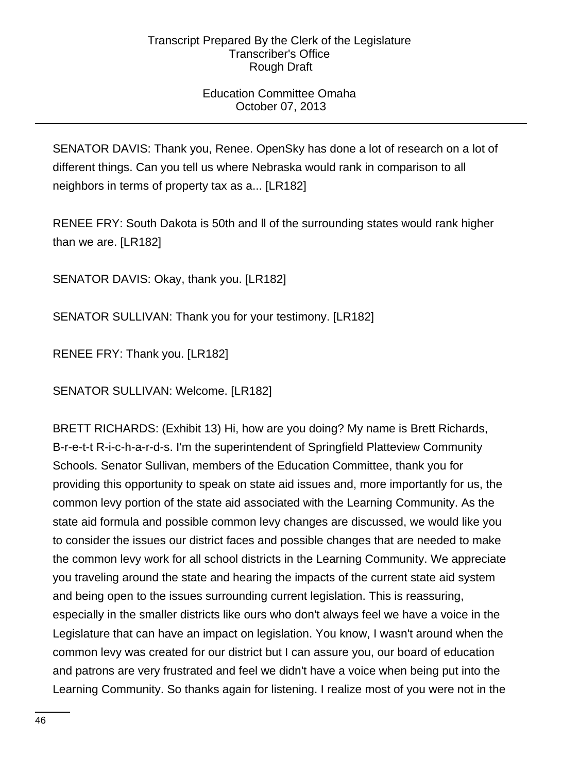## Education Committee Omaha October 07, 2013

SENATOR DAVIS: Thank you, Renee. OpenSky has done a lot of research on a lot of different things. Can you tell us where Nebraska would rank in comparison to all neighbors in terms of property tax as a... [LR182]

RENEE FRY: South Dakota is 50th and ll of the surrounding states would rank higher than we are. [LR182]

SENATOR DAVIS: Okay, thank you. [LR182]

SENATOR SULLIVAN: Thank you for your testimony. [LR182]

RENEE FRY: Thank you. [LR182]

SENATOR SULLIVAN: Welcome. [LR182]

BRETT RICHARDS: (Exhibit 13) Hi, how are you doing? My name is Brett Richards, B-r-e-t-t R-i-c-h-a-r-d-s. I'm the superintendent of Springfield Platteview Community Schools. Senator Sullivan, members of the Education Committee, thank you for providing this opportunity to speak on state aid issues and, more importantly for us, the common levy portion of the state aid associated with the Learning Community. As the state aid formula and possible common levy changes are discussed, we would like you to consider the issues our district faces and possible changes that are needed to make the common levy work for all school districts in the Learning Community. We appreciate you traveling around the state and hearing the impacts of the current state aid system and being open to the issues surrounding current legislation. This is reassuring, especially in the smaller districts like ours who don't always feel we have a voice in the Legislature that can have an impact on legislation. You know, I wasn't around when the common levy was created for our district but I can assure you, our board of education and patrons are very frustrated and feel we didn't have a voice when being put into the Learning Community. So thanks again for listening. I realize most of you were not in the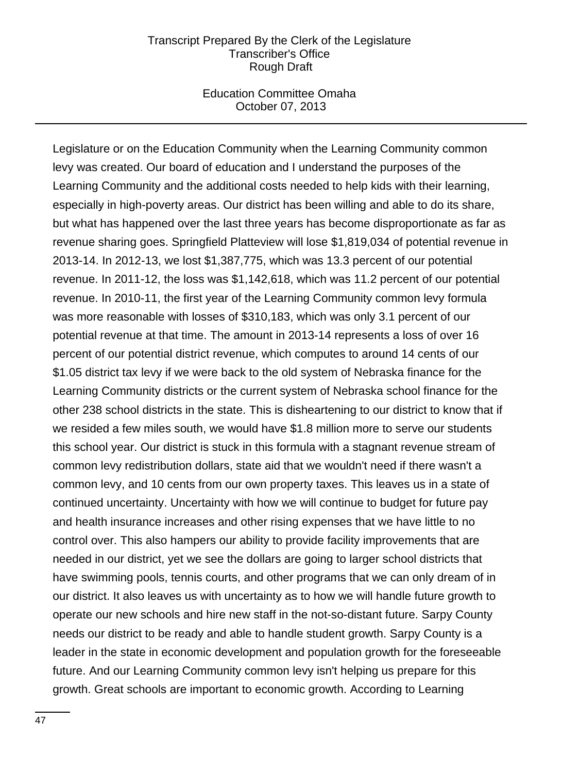### Education Committee Omaha October 07, 2013

Legislature or on the Education Community when the Learning Community common levy was created. Our board of education and I understand the purposes of the Learning Community and the additional costs needed to help kids with their learning, especially in high-poverty areas. Our district has been willing and able to do its share, but what has happened over the last three years has become disproportionate as far as revenue sharing goes. Springfield Platteview will lose \$1,819,034 of potential revenue in 2013-14. In 2012-13, we lost \$1,387,775, which was 13.3 percent of our potential revenue. In 2011-12, the loss was \$1,142,618, which was 11.2 percent of our potential revenue. In 2010-11, the first year of the Learning Community common levy formula was more reasonable with losses of \$310,183, which was only 3.1 percent of our potential revenue at that time. The amount in 2013-14 represents a loss of over 16 percent of our potential district revenue, which computes to around 14 cents of our \$1.05 district tax levy if we were back to the old system of Nebraska finance for the Learning Community districts or the current system of Nebraska school finance for the other 238 school districts in the state. This is disheartening to our district to know that if we resided a few miles south, we would have \$1.8 million more to serve our students this school year. Our district is stuck in this formula with a stagnant revenue stream of common levy redistribution dollars, state aid that we wouldn't need if there wasn't a common levy, and 10 cents from our own property taxes. This leaves us in a state of continued uncertainty. Uncertainty with how we will continue to budget for future pay and health insurance increases and other rising expenses that we have little to no control over. This also hampers our ability to provide facility improvements that are needed in our district, yet we see the dollars are going to larger school districts that have swimming pools, tennis courts, and other programs that we can only dream of in our district. It also leaves us with uncertainty as to how we will handle future growth to operate our new schools and hire new staff in the not-so-distant future. Sarpy County needs our district to be ready and able to handle student growth. Sarpy County is a leader in the state in economic development and population growth for the foreseeable future. And our Learning Community common levy isn't helping us prepare for this growth. Great schools are important to economic growth. According to Learning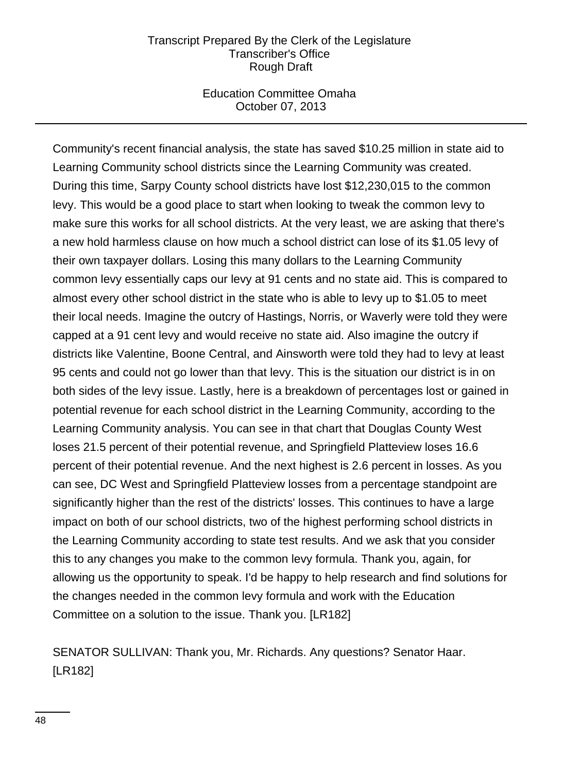### Education Committee Omaha October 07, 2013

Community's recent financial analysis, the state has saved \$10.25 million in state aid to Learning Community school districts since the Learning Community was created. During this time, Sarpy County school districts have lost \$12,230,015 to the common levy. This would be a good place to start when looking to tweak the common levy to make sure this works for all school districts. At the very least, we are asking that there's a new hold harmless clause on how much a school district can lose of its \$1.05 levy of their own taxpayer dollars. Losing this many dollars to the Learning Community common levy essentially caps our levy at 91 cents and no state aid. This is compared to almost every other school district in the state who is able to levy up to \$1.05 to meet their local needs. Imagine the outcry of Hastings, Norris, or Waverly were told they were capped at a 91 cent levy and would receive no state aid. Also imagine the outcry if districts like Valentine, Boone Central, and Ainsworth were told they had to levy at least 95 cents and could not go lower than that levy. This is the situation our district is in on both sides of the levy issue. Lastly, here is a breakdown of percentages lost or gained in potential revenue for each school district in the Learning Community, according to the Learning Community analysis. You can see in that chart that Douglas County West loses 21.5 percent of their potential revenue, and Springfield Platteview loses 16.6 percent of their potential revenue. And the next highest is 2.6 percent in losses. As you can see, DC West and Springfield Platteview losses from a percentage standpoint are significantly higher than the rest of the districts' losses. This continues to have a large impact on both of our school districts, two of the highest performing school districts in the Learning Community according to state test results. And we ask that you consider this to any changes you make to the common levy formula. Thank you, again, for allowing us the opportunity to speak. I'd be happy to help research and find solutions for the changes needed in the common levy formula and work with the Education Committee on a solution to the issue. Thank you. [LR182]

SENATOR SULLIVAN: Thank you, Mr. Richards. Any questions? Senator Haar. [LR182]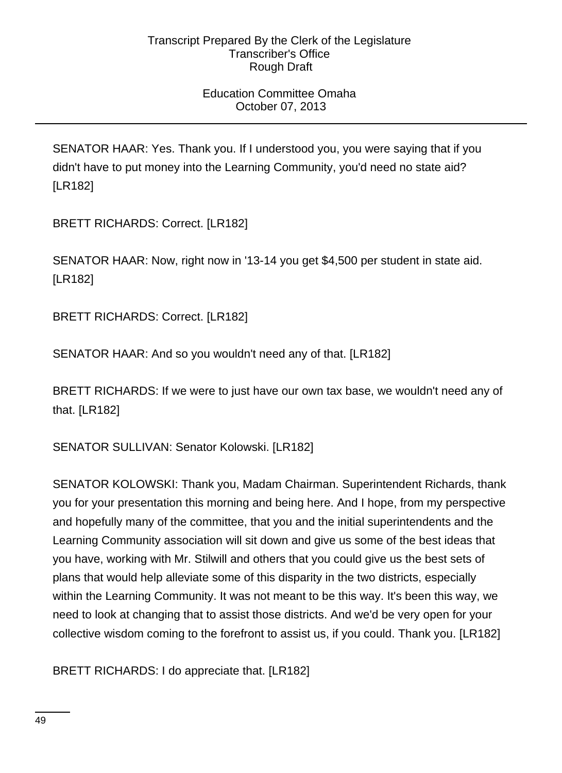## Education Committee Omaha October 07, 2013

SENATOR HAAR: Yes. Thank you. If I understood you, you were saying that if you didn't have to put money into the Learning Community, you'd need no state aid? [LR182]

BRETT RICHARDS: Correct. [LR182]

SENATOR HAAR: Now, right now in '13-14 you get \$4,500 per student in state aid. [LR182]

BRETT RICHARDS: Correct. [LR182]

SENATOR HAAR: And so you wouldn't need any of that. [LR182]

BRETT RICHARDS: If we were to just have our own tax base, we wouldn't need any of that. [LR182]

SENATOR SULLIVAN: Senator Kolowski. [LR182]

SENATOR KOLOWSKI: Thank you, Madam Chairman. Superintendent Richards, thank you for your presentation this morning and being here. And I hope, from my perspective and hopefully many of the committee, that you and the initial superintendents and the Learning Community association will sit down and give us some of the best ideas that you have, working with Mr. Stilwill and others that you could give us the best sets of plans that would help alleviate some of this disparity in the two districts, especially within the Learning Community. It was not meant to be this way. It's been this way, we need to look at changing that to assist those districts. And we'd be very open for your collective wisdom coming to the forefront to assist us, if you could. Thank you. [LR182]

BRETT RICHARDS: I do appreciate that. [LR182]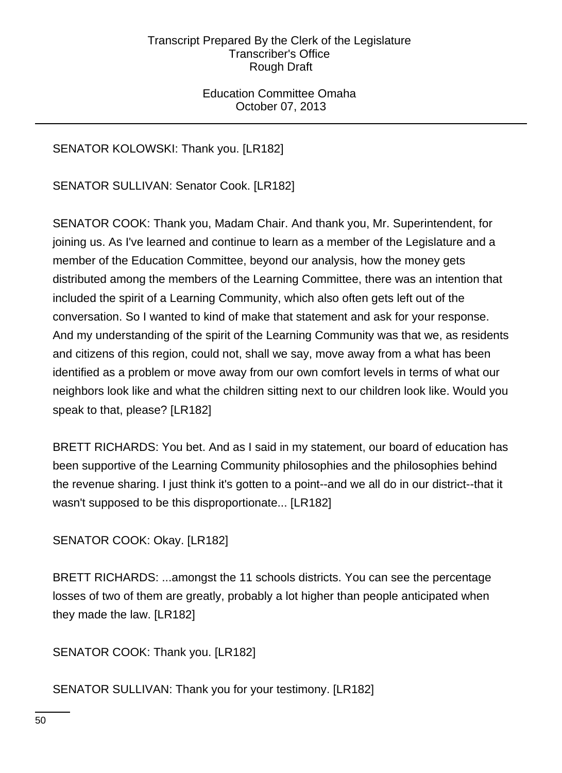Education Committee Omaha October 07, 2013

# SENATOR KOLOWSKI: Thank you. [LR182]

SENATOR SULLIVAN: Senator Cook. [LR182]

SENATOR COOK: Thank you, Madam Chair. And thank you, Mr. Superintendent, for joining us. As I've learned and continue to learn as a member of the Legislature and a member of the Education Committee, beyond our analysis, how the money gets distributed among the members of the Learning Committee, there was an intention that included the spirit of a Learning Community, which also often gets left out of the conversation. So I wanted to kind of make that statement and ask for your response. And my understanding of the spirit of the Learning Community was that we, as residents and citizens of this region, could not, shall we say, move away from a what has been identified as a problem or move away from our own comfort levels in terms of what our neighbors look like and what the children sitting next to our children look like. Would you speak to that, please? [LR182]

BRETT RICHARDS: You bet. And as I said in my statement, our board of education has been supportive of the Learning Community philosophies and the philosophies behind the revenue sharing. I just think it's gotten to a point--and we all do in our district--that it wasn't supposed to be this disproportionate... [LR182]

## SENATOR COOK: Okay. [LR182]

BRETT RICHARDS: ...amongst the 11 schools districts. You can see the percentage losses of two of them are greatly, probably a lot higher than people anticipated when they made the law. [LR182]

SENATOR COOK: Thank you. [LR182]

SENATOR SULLIVAN: Thank you for your testimony. [LR182]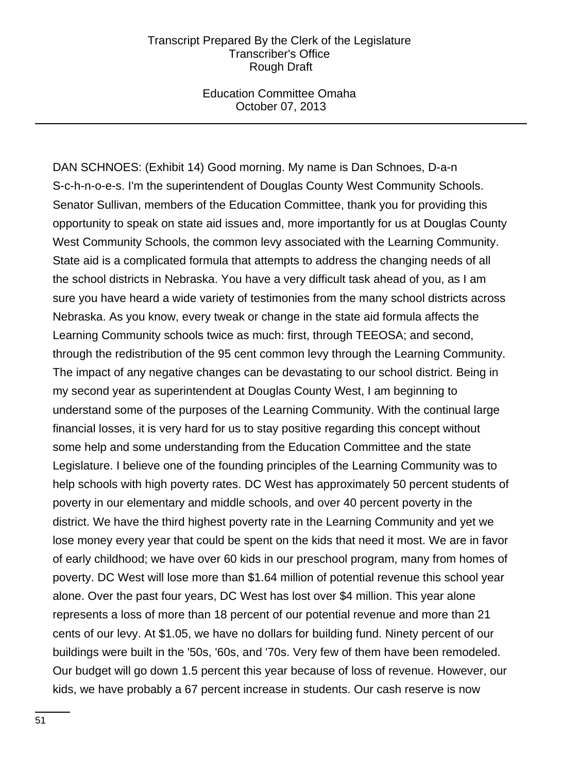Education Committee Omaha October 07, 2013

DAN SCHNOES: (Exhibit 14) Good morning. My name is Dan Schnoes, D-a-n S-c-h-n-o-e-s. I'm the superintendent of Douglas County West Community Schools. Senator Sullivan, members of the Education Committee, thank you for providing this opportunity to speak on state aid issues and, more importantly for us at Douglas County West Community Schools, the common levy associated with the Learning Community. State aid is a complicated formula that attempts to address the changing needs of all the school districts in Nebraska. You have a very difficult task ahead of you, as I am sure you have heard a wide variety of testimonies from the many school districts across Nebraska. As you know, every tweak or change in the state aid formula affects the Learning Community schools twice as much: first, through TEEOSA; and second, through the redistribution of the 95 cent common levy through the Learning Community. The impact of any negative changes can be devastating to our school district. Being in my second year as superintendent at Douglas County West, I am beginning to understand some of the purposes of the Learning Community. With the continual large financial losses, it is very hard for us to stay positive regarding this concept without some help and some understanding from the Education Committee and the state Legislature. I believe one of the founding principles of the Learning Community was to help schools with high poverty rates. DC West has approximately 50 percent students of poverty in our elementary and middle schools, and over 40 percent poverty in the district. We have the third highest poverty rate in the Learning Community and yet we lose money every year that could be spent on the kids that need it most. We are in favor of early childhood; we have over 60 kids in our preschool program, many from homes of poverty. DC West will lose more than \$1.64 million of potential revenue this school year alone. Over the past four years, DC West has lost over \$4 million. This year alone represents a loss of more than 18 percent of our potential revenue and more than 21 cents of our levy. At \$1.05, we have no dollars for building fund. Ninety percent of our buildings were built in the '50s, '60s, and '70s. Very few of them have been remodeled. Our budget will go down 1.5 percent this year because of loss of revenue. However, our kids, we have probably a 67 percent increase in students. Our cash reserve is now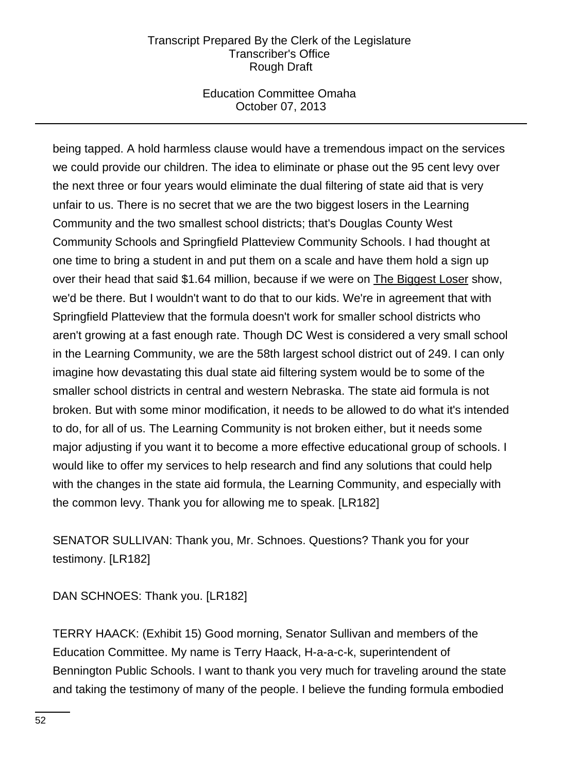## Education Committee Omaha October 07, 2013

being tapped. A hold harmless clause would have a tremendous impact on the services we could provide our children. The idea to eliminate or phase out the 95 cent levy over the next three or four years would eliminate the dual filtering of state aid that is very unfair to us. There is no secret that we are the two biggest losers in the Learning Community and the two smallest school districts; that's Douglas County West Community Schools and Springfield Platteview Community Schools. I had thought at one time to bring a student in and put them on a scale and have them hold a sign up over their head that said \$1.64 million, because if we were on The Biggest Loser show, we'd be there. But I wouldn't want to do that to our kids. We're in agreement that with Springfield Platteview that the formula doesn't work for smaller school districts who aren't growing at a fast enough rate. Though DC West is considered a very small school in the Learning Community, we are the 58th largest school district out of 249. I can only imagine how devastating this dual state aid filtering system would be to some of the smaller school districts in central and western Nebraska. The state aid formula is not broken. But with some minor modification, it needs to be allowed to do what it's intended to do, for all of us. The Learning Community is not broken either, but it needs some major adjusting if you want it to become a more effective educational group of schools. I would like to offer my services to help research and find any solutions that could help with the changes in the state aid formula, the Learning Community, and especially with the common levy. Thank you for allowing me to speak. [LR182]

SENATOR SULLIVAN: Thank you, Mr. Schnoes. Questions? Thank you for your testimony. [LR182]

DAN SCHNOES: Thank you. [LR182]

TERRY HAACK: (Exhibit 15) Good morning, Senator Sullivan and members of the Education Committee. My name is Terry Haack, H-a-a-c-k, superintendent of Bennington Public Schools. I want to thank you very much for traveling around the state and taking the testimony of many of the people. I believe the funding formula embodied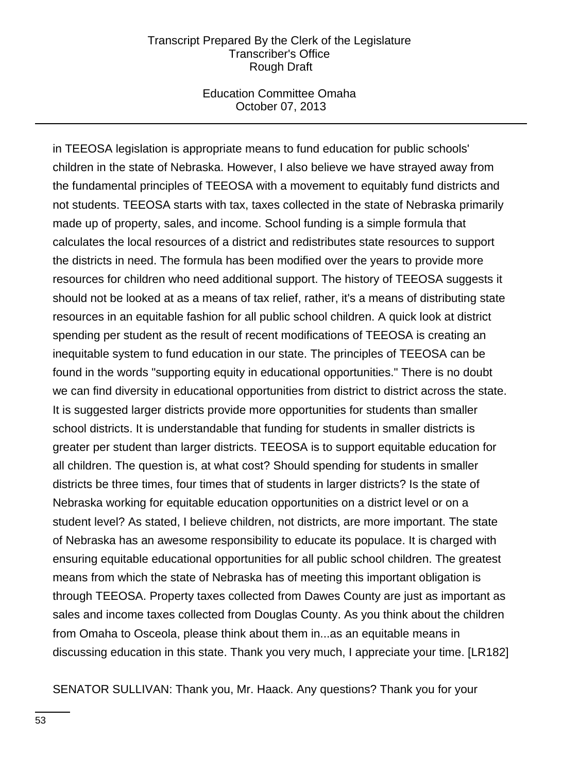### Education Committee Omaha October 07, 2013

in TEEOSA legislation is appropriate means to fund education for public schools' children in the state of Nebraska. However, I also believe we have strayed away from the fundamental principles of TEEOSA with a movement to equitably fund districts and not students. TEEOSA starts with tax, taxes collected in the state of Nebraska primarily made up of property, sales, and income. School funding is a simple formula that calculates the local resources of a district and redistributes state resources to support the districts in need. The formula has been modified over the years to provide more resources for children who need additional support. The history of TEEOSA suggests it should not be looked at as a means of tax relief, rather, it's a means of distributing state resources in an equitable fashion for all public school children. A quick look at district spending per student as the result of recent modifications of TEEOSA is creating an inequitable system to fund education in our state. The principles of TEEOSA can be found in the words "supporting equity in educational opportunities." There is no doubt we can find diversity in educational opportunities from district to district across the state. It is suggested larger districts provide more opportunities for students than smaller school districts. It is understandable that funding for students in smaller districts is greater per student than larger districts. TEEOSA is to support equitable education for all children. The question is, at what cost? Should spending for students in smaller districts be three times, four times that of students in larger districts? Is the state of Nebraska working for equitable education opportunities on a district level or on a student level? As stated, I believe children, not districts, are more important. The state of Nebraska has an awesome responsibility to educate its populace. It is charged with ensuring equitable educational opportunities for all public school children. The greatest means from which the state of Nebraska has of meeting this important obligation is through TEEOSA. Property taxes collected from Dawes County are just as important as sales and income taxes collected from Douglas County. As you think about the children from Omaha to Osceola, please think about them in...as an equitable means in discussing education in this state. Thank you very much, I appreciate your time. [LR182]

SENATOR SULLIVAN: Thank you, Mr. Haack. Any questions? Thank you for your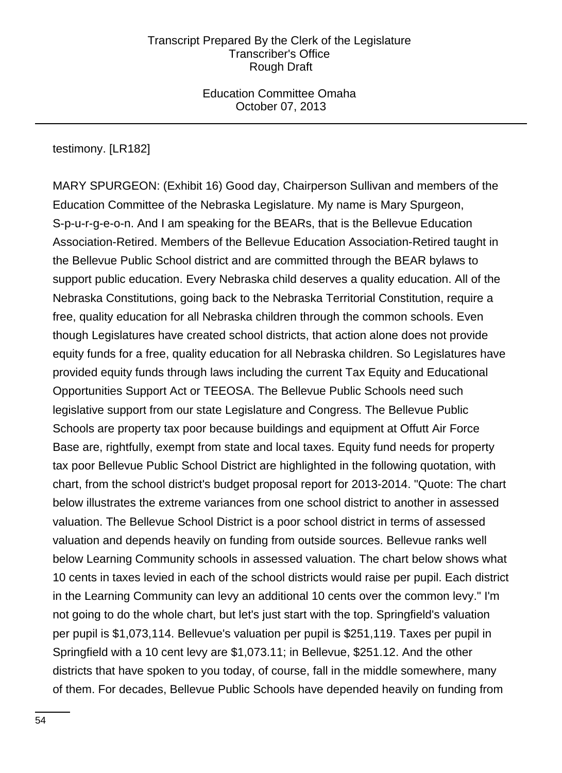Education Committee Omaha October 07, 2013

testimony. [LR182]

MARY SPURGEON: (Exhibit 16) Good day, Chairperson Sullivan and members of the Education Committee of the Nebraska Legislature. My name is Mary Spurgeon, S-p-u-r-g-e-o-n. And I am speaking for the BEARs, that is the Bellevue Education Association-Retired. Members of the Bellevue Education Association-Retired taught in the Bellevue Public School district and are committed through the BEAR bylaws to support public education. Every Nebraska child deserves a quality education. All of the Nebraska Constitutions, going back to the Nebraska Territorial Constitution, require a free, quality education for all Nebraska children through the common schools. Even though Legislatures have created school districts, that action alone does not provide equity funds for a free, quality education for all Nebraska children. So Legislatures have provided equity funds through laws including the current Tax Equity and Educational Opportunities Support Act or TEEOSA. The Bellevue Public Schools need such legislative support from our state Legislature and Congress. The Bellevue Public Schools are property tax poor because buildings and equipment at Offutt Air Force Base are, rightfully, exempt from state and local taxes. Equity fund needs for property tax poor Bellevue Public School District are highlighted in the following quotation, with chart, from the school district's budget proposal report for 2013-2014. "Quote: The chart below illustrates the extreme variances from one school district to another in assessed valuation. The Bellevue School District is a poor school district in terms of assessed valuation and depends heavily on funding from outside sources. Bellevue ranks well below Learning Community schools in assessed valuation. The chart below shows what 10 cents in taxes levied in each of the school districts would raise per pupil. Each district in the Learning Community can levy an additional 10 cents over the common levy." I'm not going to do the whole chart, but let's just start with the top. Springfield's valuation per pupil is \$1,073,114. Bellevue's valuation per pupil is \$251,119. Taxes per pupil in Springfield with a 10 cent levy are \$1,073.11; in Bellevue, \$251.12. And the other districts that have spoken to you today, of course, fall in the middle somewhere, many of them. For decades, Bellevue Public Schools have depended heavily on funding from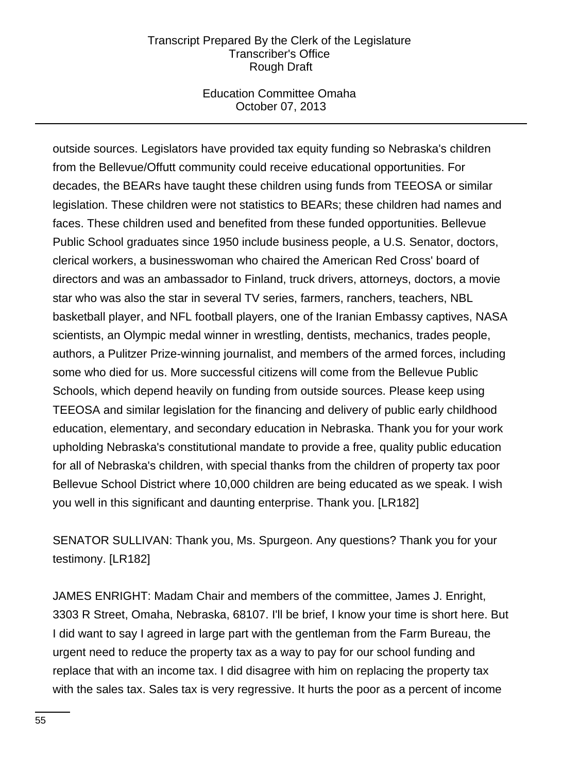## Education Committee Omaha October 07, 2013

outside sources. Legislators have provided tax equity funding so Nebraska's children from the Bellevue/Offutt community could receive educational opportunities. For decades, the BEARs have taught these children using funds from TEEOSA or similar legislation. These children were not statistics to BEARs; these children had names and faces. These children used and benefited from these funded opportunities. Bellevue Public School graduates since 1950 include business people, a U.S. Senator, doctors, clerical workers, a businesswoman who chaired the American Red Cross' board of directors and was an ambassador to Finland, truck drivers, attorneys, doctors, a movie star who was also the star in several TV series, farmers, ranchers, teachers, NBL basketball player, and NFL football players, one of the Iranian Embassy captives, NASA scientists, an Olympic medal winner in wrestling, dentists, mechanics, trades people, authors, a Pulitzer Prize-winning journalist, and members of the armed forces, including some who died for us. More successful citizens will come from the Bellevue Public Schools, which depend heavily on funding from outside sources. Please keep using TEEOSA and similar legislation for the financing and delivery of public early childhood education, elementary, and secondary education in Nebraska. Thank you for your work upholding Nebraska's constitutional mandate to provide a free, quality public education for all of Nebraska's children, with special thanks from the children of property tax poor Bellevue School District where 10,000 children are being educated as we speak. I wish you well in this significant and daunting enterprise. Thank you. [LR182]

SENATOR SULLIVAN: Thank you, Ms. Spurgeon. Any questions? Thank you for your testimony. [LR182]

JAMES ENRIGHT: Madam Chair and members of the committee, James J. Enright, 3303 R Street, Omaha, Nebraska, 68107. I'll be brief, I know your time is short here. But I did want to say I agreed in large part with the gentleman from the Farm Bureau, the urgent need to reduce the property tax as a way to pay for our school funding and replace that with an income tax. I did disagree with him on replacing the property tax with the sales tax. Sales tax is very regressive. It hurts the poor as a percent of income